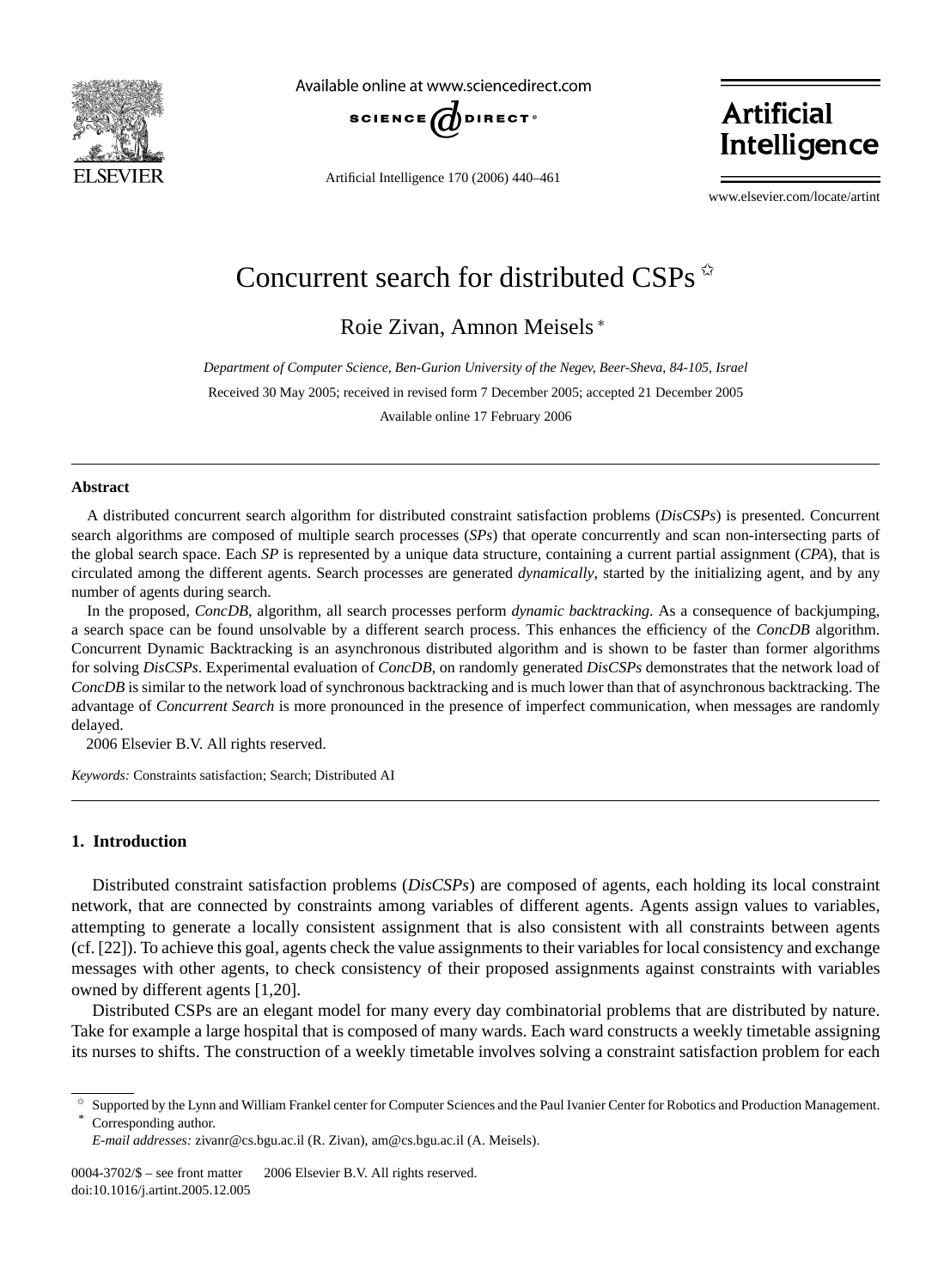

Available online at www.sciencedirect.com



Artificial Intelligence 170 (2006) 440–461

**Artificial** Intelligence

www.elsevier.com/locate/artint

# Concurrent search for distributed CSPs  $\dot{\alpha}$

Roie Zivan, Amnon Meisels <sup>∗</sup>

*Department of Computer Science, Ben-Gurion University of the Negev, Beer-Sheva, 84-105, Israel* Received 30 May 2005; received in revised form 7 December 2005; accepted 21 December 2005 Available online 17 February 2006

#### **Abstract**

A distributed concurrent search algorithm for distributed constraint satisfaction problems (*DisCSPs*) is presented. Concurrent search algorithms are composed of multiple search processes (*SPs*) that operate concurrently and scan non-intersecting parts of the global search space. Each *SP* is represented by a unique data structure, containing a current partial assignment (*CPA*), that is circulated among the different agents. Search processes are generated *dynamically*, started by the initializing agent, and by any number of agents during search.

In the proposed, *ConcDB*, algorithm, all search processes perform *dynamic backtracking*. As a consequence of backjumping, a search space can be found unsolvable by a different search process. This enhances the efficiency of the *ConcDB* algorithm. Concurrent Dynamic Backtracking is an asynchronous distributed algorithm and is shown to be faster than former algorithms for solving *DisCSPs*. Experimental evaluation of *ConcDB*, on randomly generated *DisCSPs* demonstrates that the network load of *ConcDB* is similar to the network load of synchronous backtracking and is much lower than that of asynchronous backtracking. The advantage of *Concurrent Search* is more pronounced in the presence of imperfect communication, when messages are randomly delayed.

2006 Elsevier B.V. All rights reserved.

*Keywords:* Constraints satisfaction; Search; Distributed AI

# **1. Introduction**

Distributed constraint satisfaction problems (*DisCSPs*) are composed of agents, each holding its local constraint network, that are connected by constraints among variables of different agents. Agents assign values to variables, attempting to generate a locally consistent assignment that is also consistent with all constraints between agents (cf. [22]). To achieve this goal, agents check the value assignments to their variables for local consistency and exchange messages with other agents, to check consistency of their proposed assignments against constraints with variables owned by different agents [1,20].

Distributed CSPs are an elegant model for many every day combinatorial problems that are distributed by nature. Take for example a large hospital that is composed of many wards. Each ward constructs a weekly timetable assigning its nurses to shifts. The construction of a weekly timetable involves solving a constraint satisfaction problem for each

*E-mail addresses:* zivanr@cs.bgu.ac.il (R. Zivan), am@cs.bgu.ac.il (A. Meisels).

0004-3702/\$ – see front matter © 2006 Elsevier B.V. All rights reserved. doi:10.1016/j.artint.2005.12.005

<sup>✩</sup> Supported by the Lynn and William Frankel center for Computer Sciences and the Paul Ivanier Center for Robotics and Production Management. Corresponding author.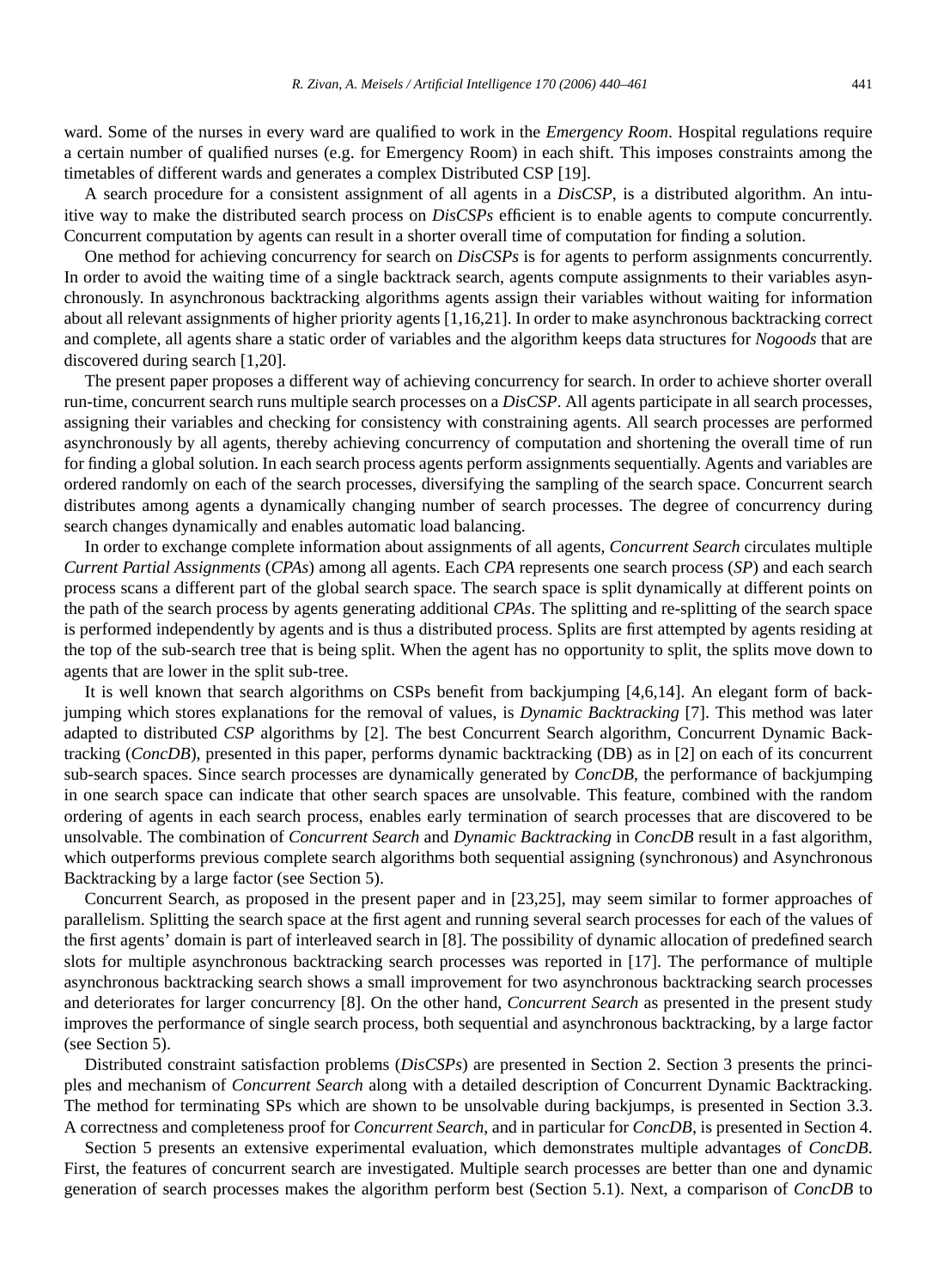ward. Some of the nurses in every ward are qualified to work in the *Emergency Room*. Hospital regulations require a certain number of qualified nurses (e.g. for Emergency Room) in each shift. This imposes constraints among the timetables of different wards and generates a complex Distributed CSP [19].

A search procedure for a consistent assignment of all agents in a *DisCSP*, is a distributed algorithm. An intuitive way to make the distributed search process on *DisCSPs* efficient is to enable agents to compute concurrently. Concurrent computation by agents can result in a shorter overall time of computation for finding a solution.

One method for achieving concurrency for search on *DisCSPs* is for agents to perform assignments concurrently. In order to avoid the waiting time of a single backtrack search, agents compute assignments to their variables asynchronously. In asynchronous backtracking algorithms agents assign their variables without waiting for information about all relevant assignments of higher priority agents [1,16,21]. In order to make asynchronous backtracking correct and complete, all agents share a static order of variables and the algorithm keeps data structures for *Nogoods* that are discovered during search [1,20].

The present paper proposes a different way of achieving concurrency for search. In order to achieve shorter overall run-time, concurrent search runs multiple search processes on a *DisCSP*. All agents participate in all search processes, assigning their variables and checking for consistency with constraining agents. All search processes are performed asynchronously by all agents, thereby achieving concurrency of computation and shortening the overall time of run for finding a global solution. In each search process agents perform assignments sequentially. Agents and variables are ordered randomly on each of the search processes, diversifying the sampling of the search space. Concurrent search distributes among agents a dynamically changing number of search processes. The degree of concurrency during search changes dynamically and enables automatic load balancing.

In order to exchange complete information about assignments of all agents, *Concurrent Search* circulates multiple *Current Partial Assignments* (*CPAs*) among all agents. Each *CPA* represents one search process (*SP*) and each search process scans a different part of the global search space. The search space is split dynamically at different points on the path of the search process by agents generating additional *CPAs*. The splitting and re-splitting of the search space is performed independently by agents and is thus a distributed process. Splits are first attempted by agents residing at the top of the sub-search tree that is being split. When the agent has no opportunity to split, the splits move down to agents that are lower in the split sub-tree.

It is well known that search algorithms on CSPs benefit from backjumping [4,6,14]. An elegant form of backjumping which stores explanations for the removal of values, is *Dynamic Backtracking* [7]. This method was later adapted to distributed *CSP* algorithms by [2]. The best Concurrent Search algorithm, Concurrent Dynamic Backtracking (*ConcDB*), presented in this paper, performs dynamic backtracking (DB) as in [2] on each of its concurrent sub-search spaces. Since search processes are dynamically generated by *ConcDB*, the performance of backjumping in one search space can indicate that other search spaces are unsolvable. This feature, combined with the random ordering of agents in each search process, enables early termination of search processes that are discovered to be unsolvable. The combination of *Concurrent Search* and *Dynamic Backtracking* in *ConcDB* result in a fast algorithm, which outperforms previous complete search algorithms both sequential assigning (synchronous) and Asynchronous Backtracking by a large factor (see Section 5).

Concurrent Search, as proposed in the present paper and in [23,25], may seem similar to former approaches of parallelism. Splitting the search space at the first agent and running several search processes for each of the values of the first agents' domain is part of interleaved search in [8]. The possibility of dynamic allocation of predefined search slots for multiple asynchronous backtracking search processes was reported in [17]. The performance of multiple asynchronous backtracking search shows a small improvement for two asynchronous backtracking search processes and deteriorates for larger concurrency [8]. On the other hand, *Concurrent Search* as presented in the present study improves the performance of single search process, both sequential and asynchronous backtracking, by a large factor (see Section 5).

Distributed constraint satisfaction problems (*DisCSPs*) are presented in Section 2. Section 3 presents the principles and mechanism of *Concurrent Search* along with a detailed description of Concurrent Dynamic Backtracking. The method for terminating SPs which are shown to be unsolvable during backjumps, is presented in Section 3.3. A correctness and completeness proof for *Concurrent Search*, and in particular for *ConcDB*, is presented in Section 4.

Section 5 presents an extensive experimental evaluation, which demonstrates multiple advantages of *ConcDB*. First, the features of concurrent search are investigated. Multiple search processes are better than one and dynamic generation of search processes makes the algorithm perform best (Section 5.1). Next, a comparison of *ConcDB* to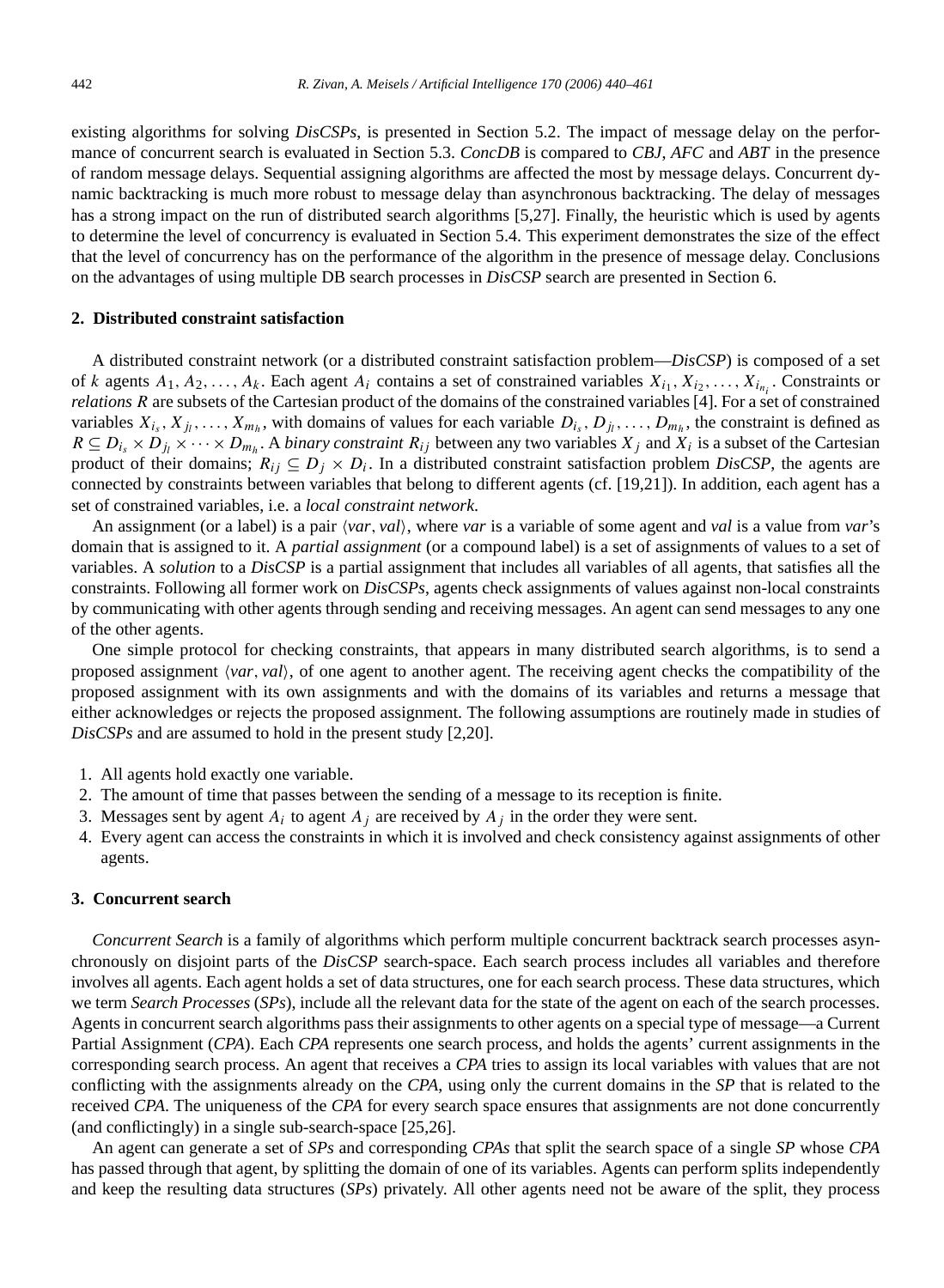existing algorithms for solving *DisCSPs*, is presented in Section 5.2. The impact of message delay on the performance of concurrent search is evaluated in Section 5.3. *ConcDB* is compared to *CBJ*, *AFC* and *ABT* in the presence of random message delays. Sequential assigning algorithms are affected the most by message delays. Concurrent dynamic backtracking is much more robust to message delay than asynchronous backtracking. The delay of messages has a strong impact on the run of distributed search algorithms [5,27]. Finally, the heuristic which is used by agents to determine the level of concurrency is evaluated in Section 5.4. This experiment demonstrates the size of the effect that the level of concurrency has on the performance of the algorithm in the presence of message delay. Conclusions on the advantages of using multiple DB search processes in *DisCSP* search are presented in Section 6.

# **2. Distributed constraint satisfaction**

A distributed constraint network (or a distributed constraint satisfaction problem—*DisCSP*) is composed of a set of *k* agents  $A_1, A_2, \ldots, A_k$ . Each agent  $A_i$  contains a set of constrained variables  $X_{i_1}, X_{i_2}, \ldots, X_{i_{n_i}}$ . Constraints or *relations R* are subsets of the Cartesian product of the domains of the constrained variables [4]. For a set of constrained variables  $X_i, X_j, \ldots, X_{m_h}$ , with domains of values for each variable  $D_i, D_j, \ldots, D_{m_h}$ , the constraint is defined as  $R \subseteq D_i$ ,  $\times D_j \times \cdots \times D_{m_h}$ . A *binary constraint*  $R_{ij}$  between any two variables  $X_j$  and  $X_i$  is a subset of the Cartesian product of their domains;  $R_{ij} \subseteq D_j \times D_i$ . In a distributed constraint satisfaction problem *DisCSP*, the agents are connected by constraints between variables that belong to different agents (cf. [19,21]). In addition, each agent has a set of constrained variables, i.e. a *local constraint network*.

An assignment (or a label) is a pair *var, val*, where *var* is a variable of some agent and *val* is a value from *var*'s domain that is assigned to it. A *partial assignment* (or a compound label) is a set of assignments of values to a set of variables. A *solution* to a *DisCSP* is a partial assignment that includes all variables of all agents, that satisfies all the constraints. Following all former work on *DisCSPs*, agents check assignments of values against non-local constraints by communicating with other agents through sending and receiving messages. An agent can send messages to any one of the other agents.

One simple protocol for checking constraints, that appears in many distributed search algorithms, is to send a proposed assignment *var, val*, of one agent to another agent. The receiving agent checks the compatibility of the proposed assignment with its own assignments and with the domains of its variables and returns a message that either acknowledges or rejects the proposed assignment. The following assumptions are routinely made in studies of *DisCSPs* and are assumed to hold in the present study [2,20].

- 1. All agents hold exactly one variable.
- 2. The amount of time that passes between the sending of a message to its reception is finite.
- 3. Messages sent by agent  $A_i$  to agent  $A_j$  are received by  $A_j$  in the order they were sent.
- 4. Every agent can access the constraints in which it is involved and check consistency against assignments of other agents.

# **3. Concurrent search**

*Concurrent Search* is a family of algorithms which perform multiple concurrent backtrack search processes asynchronously on disjoint parts of the *DisCSP* search-space. Each search process includes all variables and therefore involves all agents. Each agent holds a set of data structures, one for each search process. These data structures, which we term *Search Processes* (*SPs*), include all the relevant data for the state of the agent on each of the search processes. Agents in concurrent search algorithms pass their assignments to other agents on a special type of message—a Current Partial Assignment (*CPA*). Each *CPA* represents one search process, and holds the agents' current assignments in the corresponding search process. An agent that receives a *CPA* tries to assign its local variables with values that are not conflicting with the assignments already on the *CPA*, using only the current domains in the *SP* that is related to the received *CPA*. The uniqueness of the *CPA* for every search space ensures that assignments are not done concurrently (and conflictingly) in a single sub-search-space [25,26].

An agent can generate a set of *SPs* and corresponding *CPAs* that split the search space of a single *SP* whose *CPA* has passed through that agent, by splitting the domain of one of its variables. Agents can perform splits independently and keep the resulting data structures (*SPs*) privately. All other agents need not be aware of the split, they process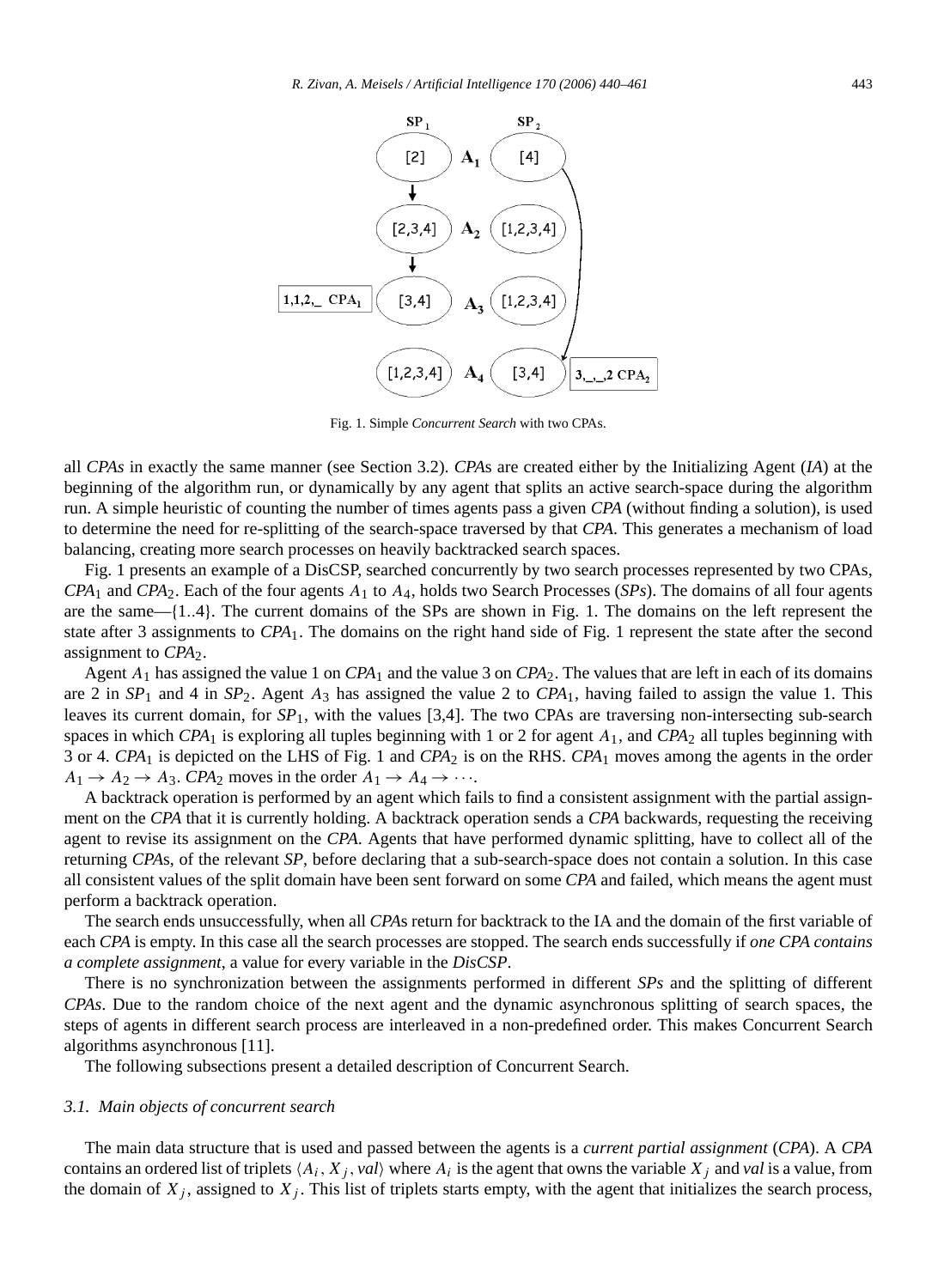

Fig. 1. Simple *Concurrent Search* with two CPAs.

all *CPAs* in exactly the same manner (see Section 3.2). *CPA*s are created either by the Initializing Agent (*IA*) at the beginning of the algorithm run, or dynamically by any agent that splits an active search-space during the algorithm run. A simple heuristic of counting the number of times agents pass a given *CPA* (without finding a solution), is used to determine the need for re-splitting of the search-space traversed by that *CPA*. This generates a mechanism of load balancing, creating more search processes on heavily backtracked search spaces.

Fig. 1 presents an example of a DisCSP, searched concurrently by two search processes represented by two CPAs, *CPA*<sup>1</sup> and *CPA*2. Each of the four agents *A*<sup>1</sup> to *A*4, holds two Search Processes (*SPs*). The domains of all four agents are the same—{1*..*4}. The current domains of the SPs are shown in Fig. 1. The domains on the left represent the state after 3 assignments to *CPA*1. The domains on the right hand side of Fig. 1 represent the state after the second assignment to *CPA*2.

Agent  $A_1$  has assigned the value 1 on  $CPA_1$  and the value 3 on  $CPA_2$ . The values that are left in each of its domains are 2 in  $SP_1$  and 4 in  $SP_2$ . Agent  $A_3$  has assigned the value 2 to  $CPA_1$ , having failed to assign the value 1. This leaves its current domain, for *SP*1, with the values [3,4]. The two CPAs are traversing non-intersecting sub-search spaces in which *CPA*<sup>1</sup> is exploring all tuples beginning with 1 or 2 for agent *A*1, and *CPA*<sup>2</sup> all tuples beginning with 3 or 4. *CPA*<sup>1</sup> is depicted on the LHS of Fig. 1 and *CPA*<sup>2</sup> is on the RHS. *CPA*<sup>1</sup> moves among the agents in the order  $A_1 \rightarrow A_2 \rightarrow A_3$ . *CPA*<sub>2</sub> moves in the order  $A_1 \rightarrow A_4 \rightarrow \cdots$ .

A backtrack operation is performed by an agent which fails to find a consistent assignment with the partial assignment on the *CPA* that it is currently holding. A backtrack operation sends a *CPA* backwards, requesting the receiving agent to revise its assignment on the *CPA*. Agents that have performed dynamic splitting, have to collect all of the returning *CPA*s, of the relevant *SP*, before declaring that a sub-search-space does not contain a solution. In this case all consistent values of the split domain have been sent forward on some *CPA* and failed, which means the agent must perform a backtrack operation.

The search ends unsuccessfully, when all *CPA*s return for backtrack to the IA and the domain of the first variable of each *CPA* is empty. In this case all the search processes are stopped. The search ends successfully if *one CPA contains a complete assignment*, a value for every variable in the *DisCSP*.

There is no synchronization between the assignments performed in different *SPs* and the splitting of different *CPAs*. Due to the random choice of the next agent and the dynamic asynchronous splitting of search spaces, the steps of agents in different search process are interleaved in a non-predefined order. This makes Concurrent Search algorithms asynchronous [11].

The following subsections present a detailed description of Concurrent Search.

#### *3.1. Main objects of concurrent search*

The main data structure that is used and passed between the agents is a *current partial assignment* (*CPA*). A *CPA* contains an ordered list of triplets  $\langle A_i, X_j, val \rangle$  where  $A_i$  is the agent that owns the variable  $X_i$  and *val* is a value, from the domain of  $X_j$ , assigned to  $X_j$ . This list of triplets starts empty, with the agent that initializes the search process,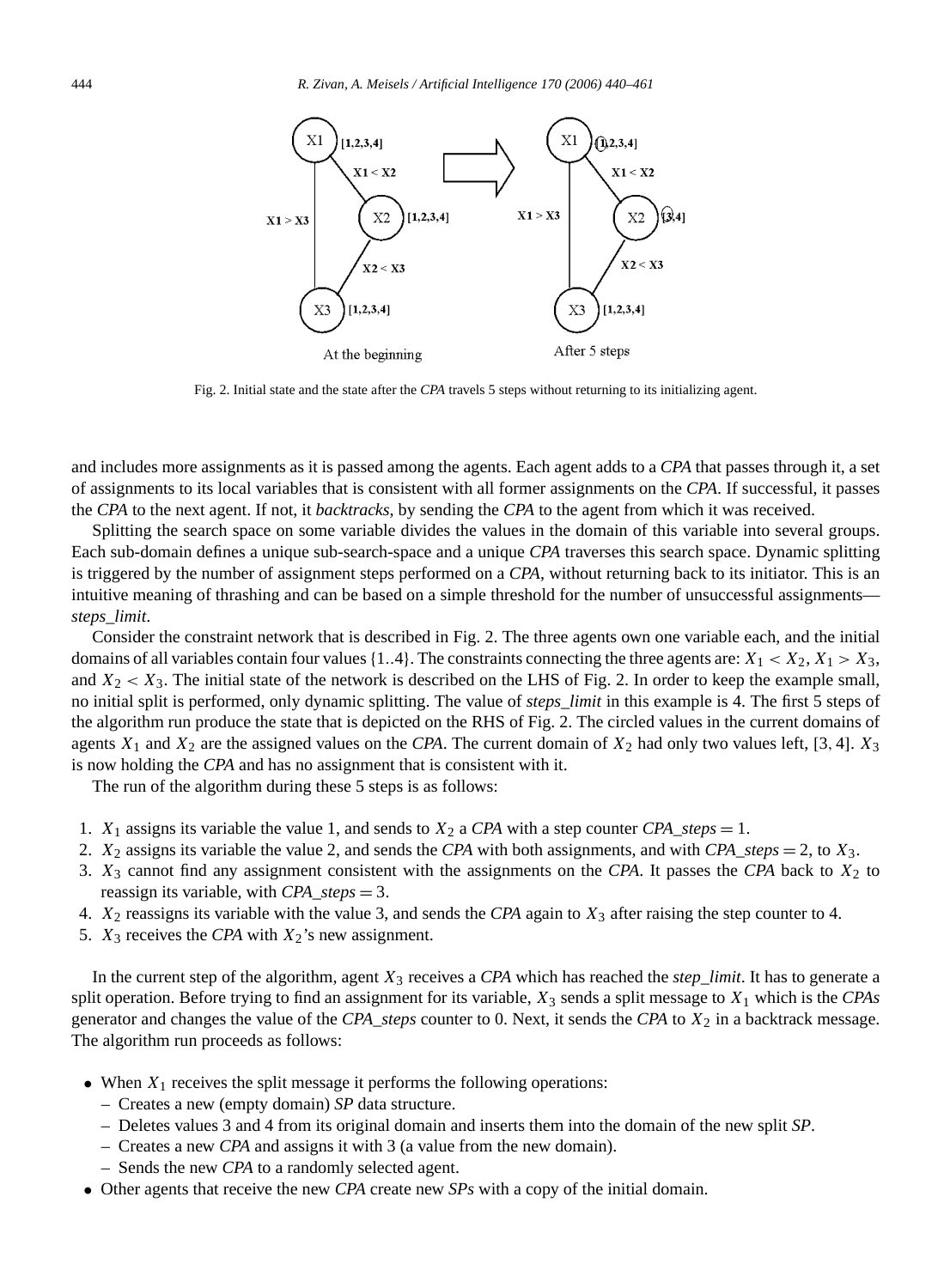

Fig. 2. Initial state and the state after the *CPA* travels 5 steps without returning to its initializing agent.

and includes more assignments as it is passed among the agents. Each agent adds to a *CPA* that passes through it, a set of assignments to its local variables that is consistent with all former assignments on the *CPA*. If successful, it passes the *CPA* to the next agent. If not, it *backtracks*, by sending the *CPA* to the agent from which it was received.

Splitting the search space on some variable divides the values in the domain of this variable into several groups. Each sub-domain defines a unique sub-search-space and a unique *CPA* traverses this search space. Dynamic splitting is triggered by the number of assignment steps performed on a *CPA*, without returning back to its initiator. This is an intuitive meaning of thrashing and can be based on a simple threshold for the number of unsuccessful assignments *steps\_limit*.

Consider the constraint network that is described in Fig. 2. The three agents own one variable each, and the initial domains of all variables contain four values  $\{1..4\}$ . The constraints connecting the three agents are:  $X_1 < X_2, X_1 > X_3$ , and  $X_2 < X_3$ . The initial state of the network is described on the LHS of Fig. 2. In order to keep the example small, no initial split is performed, only dynamic splitting. The value of *steps\_limit* in this example is 4. The first 5 steps of the algorithm run produce the state that is depicted on the RHS of Fig. 2. The circled values in the current domains of agents  $X_1$  and  $X_2$  are the assigned values on the *CPA*. The current domain of  $X_2$  had only two values left, [3, 4].  $X_3$ is now holding the *CPA* and has no assignment that is consistent with it.

The run of the algorithm during these 5 steps is as follows:

- 1.  $X_1$  assigns its variable the value 1, and sends to  $X_2$  a *CPA* with a step counter *CPA\_steps* = 1.
- 2. *X*<sup>2</sup> assigns its variable the value 2, and sends the *CPA* with both assignments, and with *CPA*\_*steps* = 2, to *X*3.
- 3. *X*<sup>3</sup> cannot find any assignment consistent with the assignments on the *CPA*. It passes the *CPA* back to *X*<sup>2</sup> to reassign its variable, with *CPA*\_*steps* = 3.
- 4. *X*<sup>2</sup> reassigns its variable with the value 3, and sends the *CPA* again to *X*<sup>3</sup> after raising the step counter to 4.
- 5. *X*<sup>3</sup> receives the *CPA* with *X*2's new assignment.

In the current step of the algorithm, agent *X*<sup>3</sup> receives a *CPA* which has reached the *step\_limit*. It has to generate a split operation. Before trying to find an assignment for its variable, *X*<sup>3</sup> sends a split message to *X*<sup>1</sup> which is the *CPAs* generator and changes the value of the *CPA\_steps* counter to 0. Next, it sends the *CPA* to *X*<sup>2</sup> in a backtrack message. The algorithm run proceeds as follows:

- When  $X_1$  receives the split message it performs the following operations:
	- Creates a new (empty domain) *SP* data structure.
	- Deletes values 3 and 4 from its original domain and inserts them into the domain of the new split *SP*.
	- Creates a new *CPA* and assigns it with 3 (a value from the new domain).
	- Sends the new *CPA* to a randomly selected agent.
- Other agents that receive the new *CPA* create new *SPs* with a copy of the initial domain.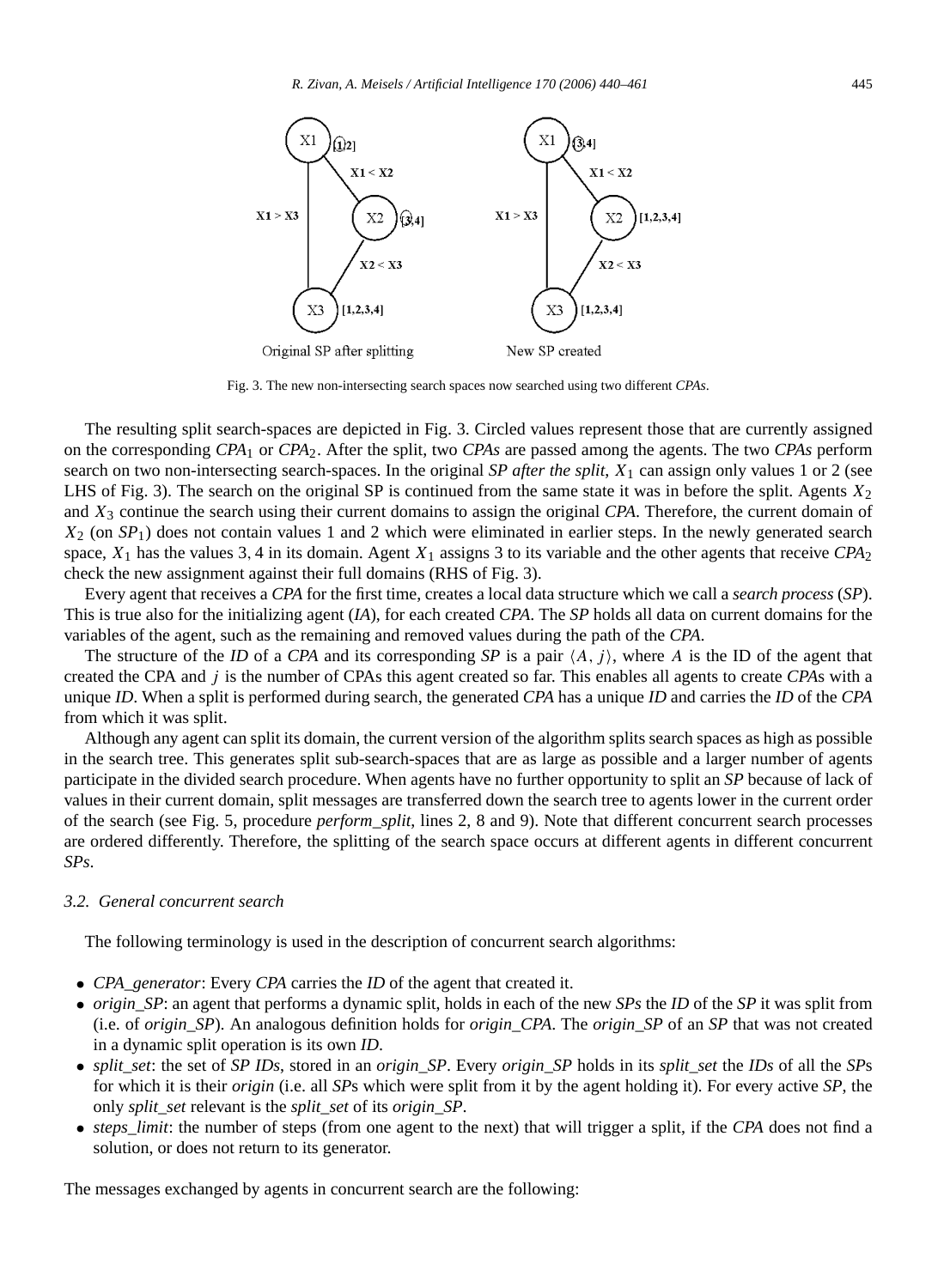

Fig. 3. The new non-intersecting search spaces now searched using two different *CPAs*.

The resulting split search-spaces are depicted in Fig. 3. Circled values represent those that are currently assigned on the corresponding *CPA*<sup>1</sup> or *CPA*2. After the split, two *CPAs* are passed among the agents. The two *CPAs* perform search on two non-intersecting search-spaces. In the original *SP after the split*,  $X_1$  can assign only values 1 or 2 (see LHS of Fig. 3). The search on the original SP is continued from the same state it was in before the split. Agents *X*<sup>2</sup> and *X*<sup>3</sup> continue the search using their current domains to assign the original *CPA*. Therefore, the current domain of *X*<sup>2</sup> (on *SP*1) does not contain values 1 and 2 which were eliminated in earlier steps. In the newly generated search space, *X*<sup>1</sup> has the values 3*,* 4 in its domain. Agent *X*<sup>1</sup> assigns 3 to its variable and the other agents that receive *CPA*<sup>2</sup> check the new assignment against their full domains (RHS of Fig. 3).

Every agent that receives a *CPA* for the first time, creates a local data structure which we call a *search process* (*SP*). This is true also for the initializing agent (*IA*), for each created *CPA*. The *SP* holds all data on current domains for the variables of the agent, such as the remaining and removed values during the path of the *CPA*.

The structure of the *ID* of a *CPA* and its corresponding *SP* is a pair  $\langle A, j \rangle$ , where *A* is the *ID* of the agent that created the CPA and *j* is the number of CPAs this agent created so far. This enables all agents to create *CPA*s with a unique *ID*. When a split is performed during search, the generated *CPA* has a unique *ID* and carries the *ID* of the *CPA* from which it was split.

Although any agent can split its domain, the current version of the algorithm splits search spaces as high as possible in the search tree. This generates split sub-search-spaces that are as large as possible and a larger number of agents participate in the divided search procedure. When agents have no further opportunity to split an *SP* because of lack of values in their current domain, split messages are transferred down the search tree to agents lower in the current order of the search (see Fig. 5, procedure *perform\_split*, lines 2, 8 and 9). Note that different concurrent search processes are ordered differently. Therefore, the splitting of the search space occurs at different agents in different concurrent *SPs*.

### *3.2. General concurrent search*

The following terminology is used in the description of concurrent search algorithms:

- *CPA\_generator*: Every *CPA* carries the *ID* of the agent that created it.
- *origin\_SP*: an agent that performs a dynamic split, holds in each of the new *SPs* the *ID* of the *SP* it was split from (i.e. of *origin\_SP*). An analogous definition holds for *origin\_CPA*. The *origin\_SP* of an *SP* that was not created in a dynamic split operation is its own *ID*.
- *split\_set*: the set of *SP IDs*, stored in an *origin\_SP*. Every *origin\_SP* holds in its *split\_set* the *IDs* of all the *SP*s for which it is their *origin* (i.e. all *SP*s which were split from it by the agent holding it). For every active *SP*, the only *split\_set* relevant is the *split\_set* of its *origin\_SP*.
- *steps\_limit*: the number of steps (from one agent to the next) that will trigger a split, if the *CPA* does not find a solution, or does not return to its generator.

The messages exchanged by agents in concurrent search are the following: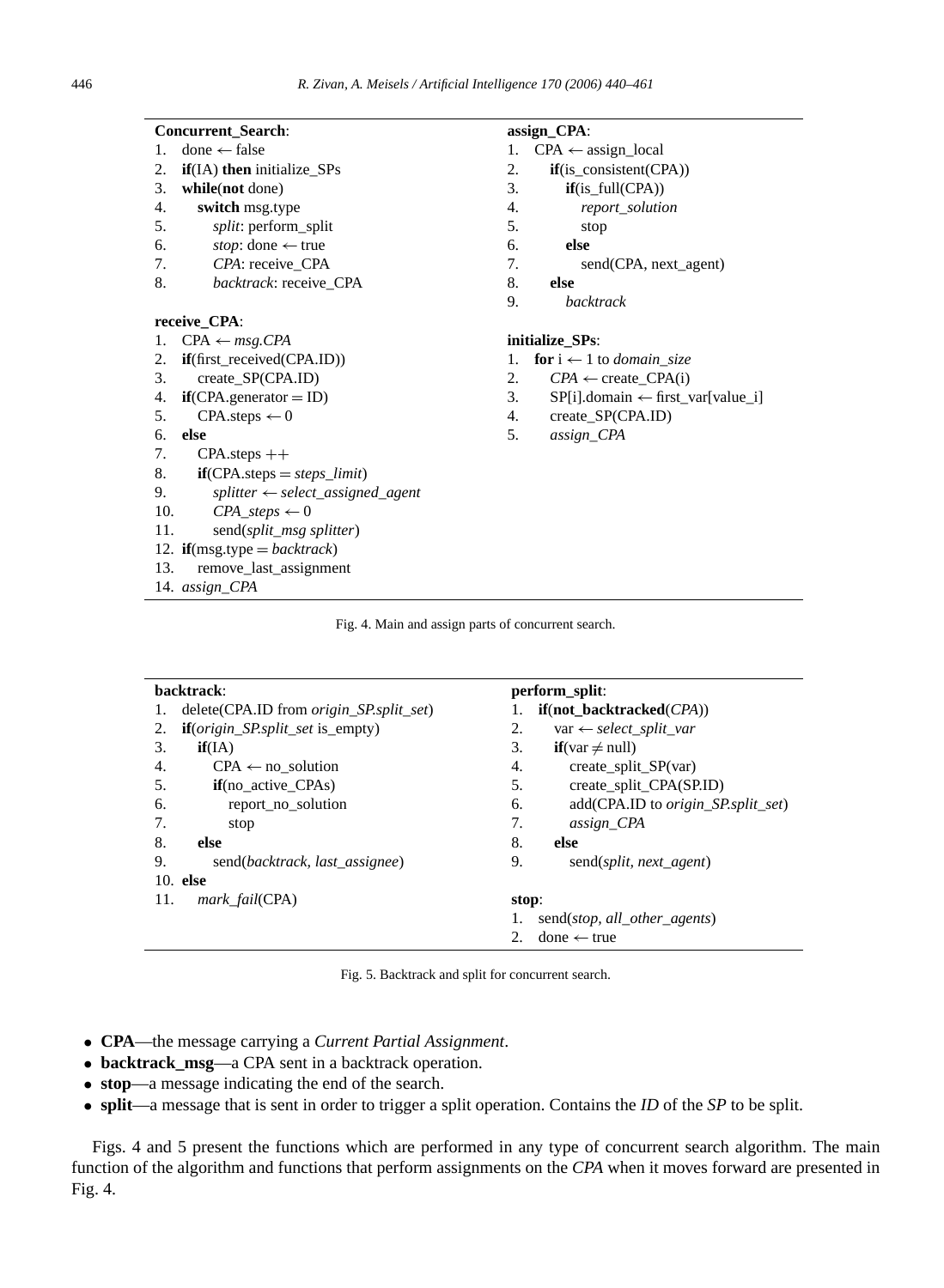### **Concurrent\_Search**:

- 1. done  $\leftarrow$  false
- 2. **if**(IA) **then** initialize\_SPs
- 3. **while**(**not** done)
- 4. **switch** msg.type
- 5. *split*: perform\_split
- 6. *stop*: done ← true
- 7. *CPA*: receive\_CPA
- 8. *backtrack*: receive\_CPA

#### **receive\_CPA**:

- 1.  $CPA \leftarrow msg.CPA$
- 2. **if**(first\_received(CPA.ID))
- 3. create\_SP(CPA.ID)
- 4. **if**(CPA.generator = ID)
- 5. CPA.steps  $\leftarrow 0$
- 6. **else**
- 7. CPA.steps ++
- 8. **if**(CPA.steps = *steps\_limit*)
- 9. *splitter* ← *select\_assigned\_agent*
- 10. *CPA* steps  $\leftarrow$  0
- 11. send(*split\_msg splitter*)
- 12. **if**(msg.type  $=$  *backtrack*)
- 13. remove\_last\_assignment
- 14. *assign\_CPA*

# **assign\_CPA**:

- 1.  $CPA \leftarrow assign\_local$
- 2. **if**(is\_consistent(CPA))
- 3. **if**(is\_full(CPA))
- 4. *report\_solution*
- 5. stop
- 6. **else**
- 7. send(CPA, next\_agent)
- 8. **else**
- 9. *backtrack*

# **initialize\_SPs**:

- 1. **for**  $i \leftarrow 1$  to *domain\_size*
- 2.  $CPA \leftarrow \text{create}_\text{CPA}(i)$
- 3.  $\text{SP}[i]$ .domain ← first\_var[value\_i]
- 4. create\_SP(CPA.ID)
- 5. *assign\_CPA*

| Fig. 4. Main and assign parts of concurrent search. |  |  |  |  |  |  |  |
|-----------------------------------------------------|--|--|--|--|--|--|--|
|-----------------------------------------------------|--|--|--|--|--|--|--|

| backtrack:                                      | perform_split:                                |
|-------------------------------------------------|-----------------------------------------------|
| delete(CPA.ID from <i>origin_SP.split_set</i> ) | $if (not$ backtracked $(CPA)$ )               |
| $if(cright$ SP split set is empty)              | 2.                                            |
| 2.                                              | $var \leftarrow select\_split\_var$           |
| 3.                                              | 3.                                            |
| if(IA)                                          | $if(var \neq null)$                           |
| 4.                                              | 4.                                            |
| $CPA \leftarrow no$ solution                    | $create$ split $SP(var)$                      |
| 5.                                              | create_split_CPA(SP.ID)                       |
| if(no active CPAs)                              | 5.                                            |
| 6.                                              | add(CPA.ID to <i>origin_SP.split_set</i> )    |
| report no solution                              | 6.                                            |
| 7.                                              | 7.                                            |
| stop                                            | assign_CPA                                    |
| 8.                                              | 8.                                            |
| else                                            | else                                          |
| 9.                                              | 9.                                            |
| send(backtrack, last assignee)                  | send( <i>split, next agent</i> )              |
| 10. else                                        |                                               |
| 11.<br>mark fail(CPA)                           | stop:                                         |
|                                                 | send( <i>stop</i> , <i>all_other_agents</i> ) |
|                                                 | 2.<br>done $\leftarrow$ true                  |

Fig. 5. Backtrack and split for concurrent search.

- **CPA**—the message carrying a *Current Partial Assignment*.
- **backtrack\_msg**—a CPA sent in a backtrack operation.
- **stop**—a message indicating the end of the search.
- **split**—a message that is sent in order to trigger a split operation. Contains the *ID* of the *SP* to be split.

Figs. 4 and 5 present the functions which are performed in any type of concurrent search algorithm. The main function of the algorithm and functions that perform assignments on the *CPA* when it moves forward are presented in Fig. 4.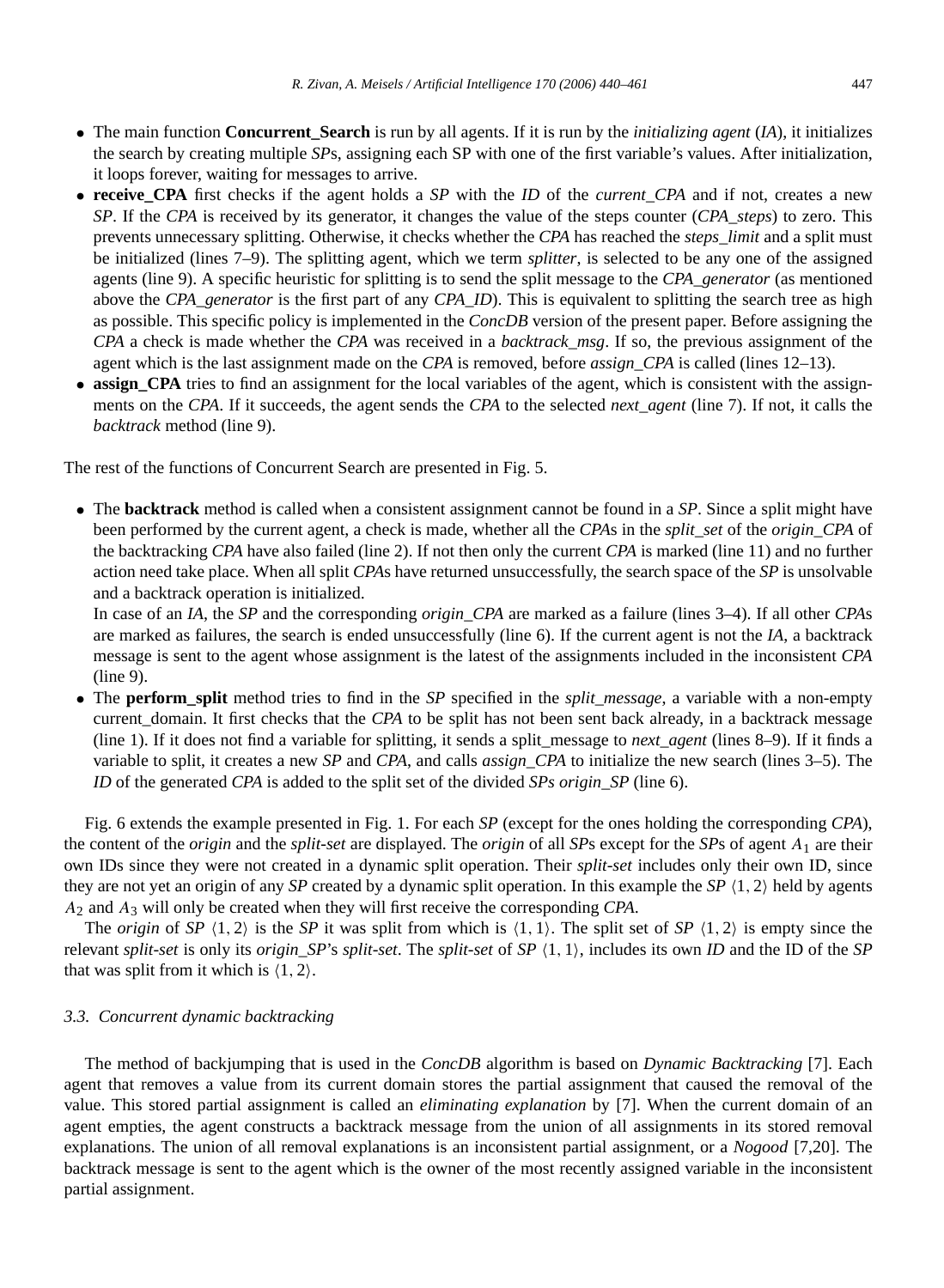- The main function **Concurrent\_Search** is run by all agents. If it is run by the *initializing agent* (*IA*), it initializes the search by creating multiple *SP*s, assigning each SP with one of the first variable's values. After initialization, it loops forever, waiting for messages to arrive.
- **receive\_CPA** first checks if the agent holds a *SP* with the *ID* of the *current\_CPA* and if not, creates a new *SP*. If the *CPA* is received by its generator, it changes the value of the steps counter (*CPA\_steps*) to zero. This prevents unnecessary splitting. Otherwise, it checks whether the *CPA* has reached the *steps\_limit* and a split must be initialized (lines 7–9). The splitting agent, which we term *splitter*, is selected to be any one of the assigned agents (line 9). A specific heuristic for splitting is to send the split message to the *CPA\_generator* (as mentioned above the *CPA\_generator* is the first part of any *CPA\_ID*). This is equivalent to splitting the search tree as high as possible. This specific policy is implemented in the *ConcDB* version of the present paper. Before assigning the *CPA* a check is made whether the *CPA* was received in a *backtrack\_msg*. If so, the previous assignment of the agent which is the last assignment made on the *CPA* is removed, before *assign\_CPA* is called (lines 12–13).
- **assign\_CPA** tries to find an assignment for the local variables of the agent, which is consistent with the assignments on the *CPA*. If it succeeds, the agent sends the *CPA* to the selected *next\_agent* (line 7). If not, it calls the *backtrack* method (line 9).

The rest of the functions of Concurrent Search are presented in Fig. 5.

• The **backtrack** method is called when a consistent assignment cannot be found in a *SP*. Since a split might have been performed by the current agent, a check is made, whether all the *CPA*s in the *split\_set* of the *origin\_CPA* of the backtracking *CPA* have also failed (line 2). If not then only the current *CPA* is marked (line 11) and no further action need take place. When all split *CPA*s have returned unsuccessfully, the search space of the *SP* is unsolvable and a backtrack operation is initialized.

In case of an *IA*, the *SP* and the corresponding *origin\_CPA* are marked as a failure (lines 3–4). If all other *CPA*s are marked as failures, the search is ended unsuccessfully (line 6). If the current agent is not the *IA*, a backtrack message is sent to the agent whose assignment is the latest of the assignments included in the inconsistent *CPA* (line 9).

• The **perform\_split** method tries to find in the *SP* specified in the *split\_message*, a variable with a non-empty current\_domain. It first checks that the *CPA* to be split has not been sent back already, in a backtrack message (line 1). If it does not find a variable for splitting, it sends a split\_message to *next\_agent* (lines 8–9). If it finds a variable to split, it creates a new *SP* and *CPA*, and calls *assign\_CPA* to initialize the new search (lines 3–5). The *ID* of the generated *CPA* is added to the split set of the divided *SPs origin SP* (line 6).

Fig. 6 extends the example presented in Fig. 1. For each *SP* (except for the ones holding the corresponding *CPA*), the content of the *origin* and the *split-set* are displayed. The *origin* of all *SP*s except for the *SP*s of agent *A*<sup>1</sup> are their own IDs since they were not created in a dynamic split operation. Their *split-set* includes only their own ID, since they are not yet an origin of any *SP* created by a dynamic split operation. In this example the *SP*  $(1, 2)$  held by agents *A*<sup>2</sup> and *A*<sup>3</sup> will only be created when they will first receive the corresponding *CPA*.

The *origin* of *SP*  $\langle 1, 2 \rangle$  is the *SP* it was split from which is  $\langle 1, 1 \rangle$ . The split set of *SP*  $\langle 1, 2 \rangle$  is empty since the relevant *split-set* is only its *origin\_SP*'s *split-set*. The *split-set* of *SP*  $\langle 1, 1 \rangle$ , includes its own *ID* and the ID of the *SP* that was split from it which is  $\langle 1, 2 \rangle$ .

# *3.3. Concurrent dynamic backtracking*

The method of backjumping that is used in the *ConcDB* algorithm is based on *Dynamic Backtracking* [7]. Each agent that removes a value from its current domain stores the partial assignment that caused the removal of the value. This stored partial assignment is called an *eliminating explanation* by [7]. When the current domain of an agent empties, the agent constructs a backtrack message from the union of all assignments in its stored removal explanations. The union of all removal explanations is an inconsistent partial assignment, or a *Nogood* [7,20]. The backtrack message is sent to the agent which is the owner of the most recently assigned variable in the inconsistent partial assignment.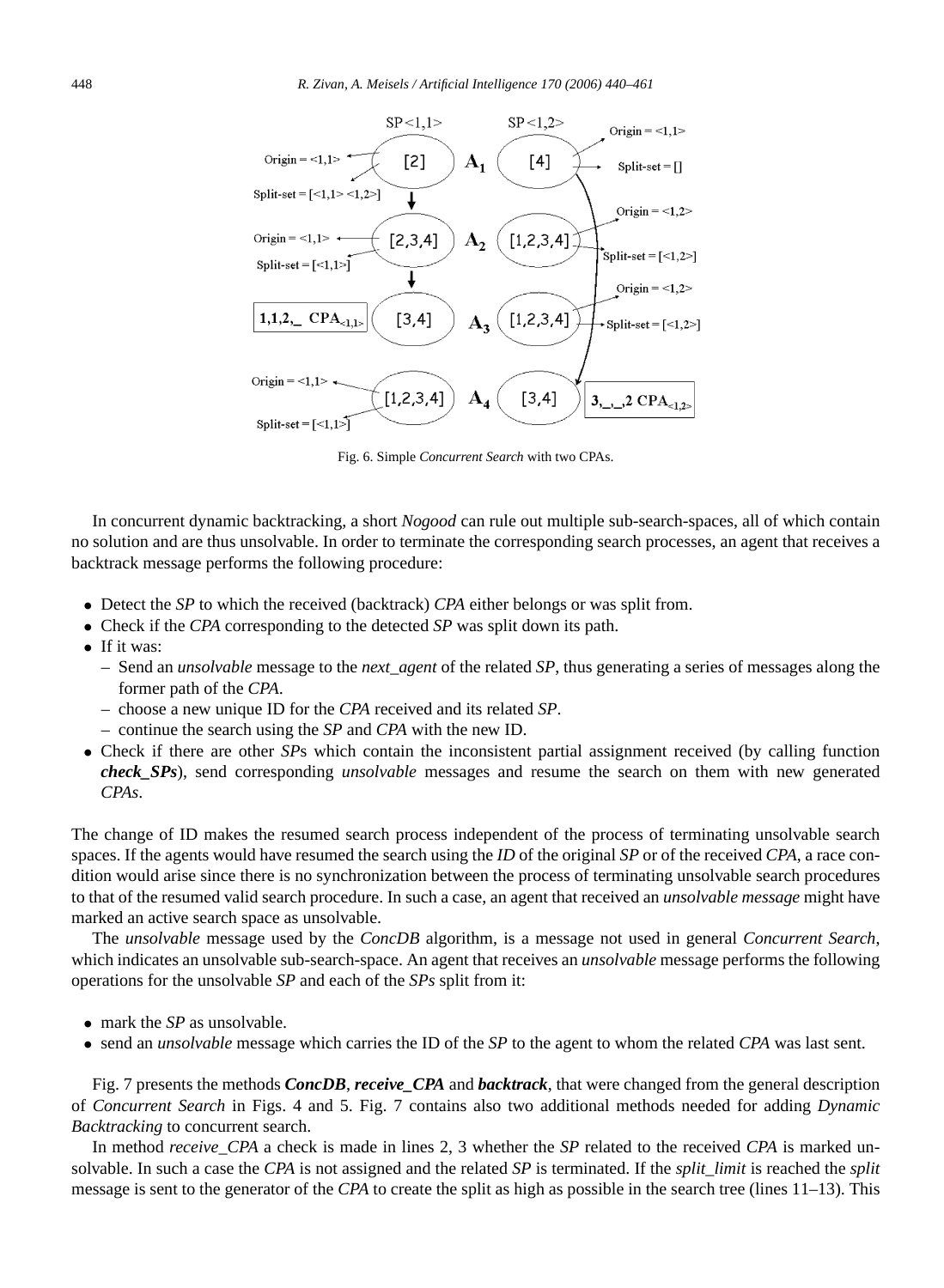

Fig. 6. Simple *Concurrent Search* with two CPAs.

In concurrent dynamic backtracking, a short *Nogood* can rule out multiple sub-search-spaces, all of which contain no solution and are thus unsolvable. In order to terminate the corresponding search processes, an agent that receives a backtrack message performs the following procedure:

- Detect the *SP* to which the received (backtrack) *CPA* either belongs or was split from.
- Check if the *CPA* corresponding to the detected *SP* was split down its path.
- If it was:
	- Send an *unsolvable* message to the *next\_agent* of the related *SP*, thus generating a series of messages along the former path of the *CPA*.
	- choose a new unique ID for the *CPA* received and its related *SP*.
	- continue the search using the *SP* and *CPA* with the new ID.
- Check if there are other *SP*s which contain the inconsistent partial assignment received (by calling function *check\_SPs*), send corresponding *unsolvable* messages and resume the search on them with new generated *CPAs*.

The change of ID makes the resumed search process independent of the process of terminating unsolvable search spaces. If the agents would have resumed the search using the *ID* of the original *SP* or of the received *CPA*, a race condition would arise since there is no synchronization between the process of terminating unsolvable search procedures to that of the resumed valid search procedure. In such a case, an agent that received an *unsolvable message* might have marked an active search space as unsolvable.

The *unsolvable* message used by the *ConcDB* algorithm, is a message not used in general *Concurrent Search*, which indicates an unsolvable sub-search-space. An agent that receives an *unsolvable* message performs the following operations for the unsolvable *SP* and each of the *SPs* split from it:

- mark the *SP* as unsolvable.
- send an *unsolvable* message which carries the ID of the *SP* to the agent to whom the related *CPA* was last sent.

Fig. 7 presents the methods *ConcDB*, *receive\_CPA* and *backtrack*, that were changed from the general description of *Concurrent Search* in Figs. 4 and 5. Fig. 7 contains also two additional methods needed for adding *Dynamic Backtracking* to concurrent search.

In method *receive\_CPA* a check is made in lines 2, 3 whether the *SP* related to the received *CPA* is marked unsolvable. In such a case the *CPA* is not assigned and the related *SP* is terminated. If the *split\_limit* is reached the *split* message is sent to the generator of the *CPA* to create the split as high as possible in the search tree (lines 11–13). This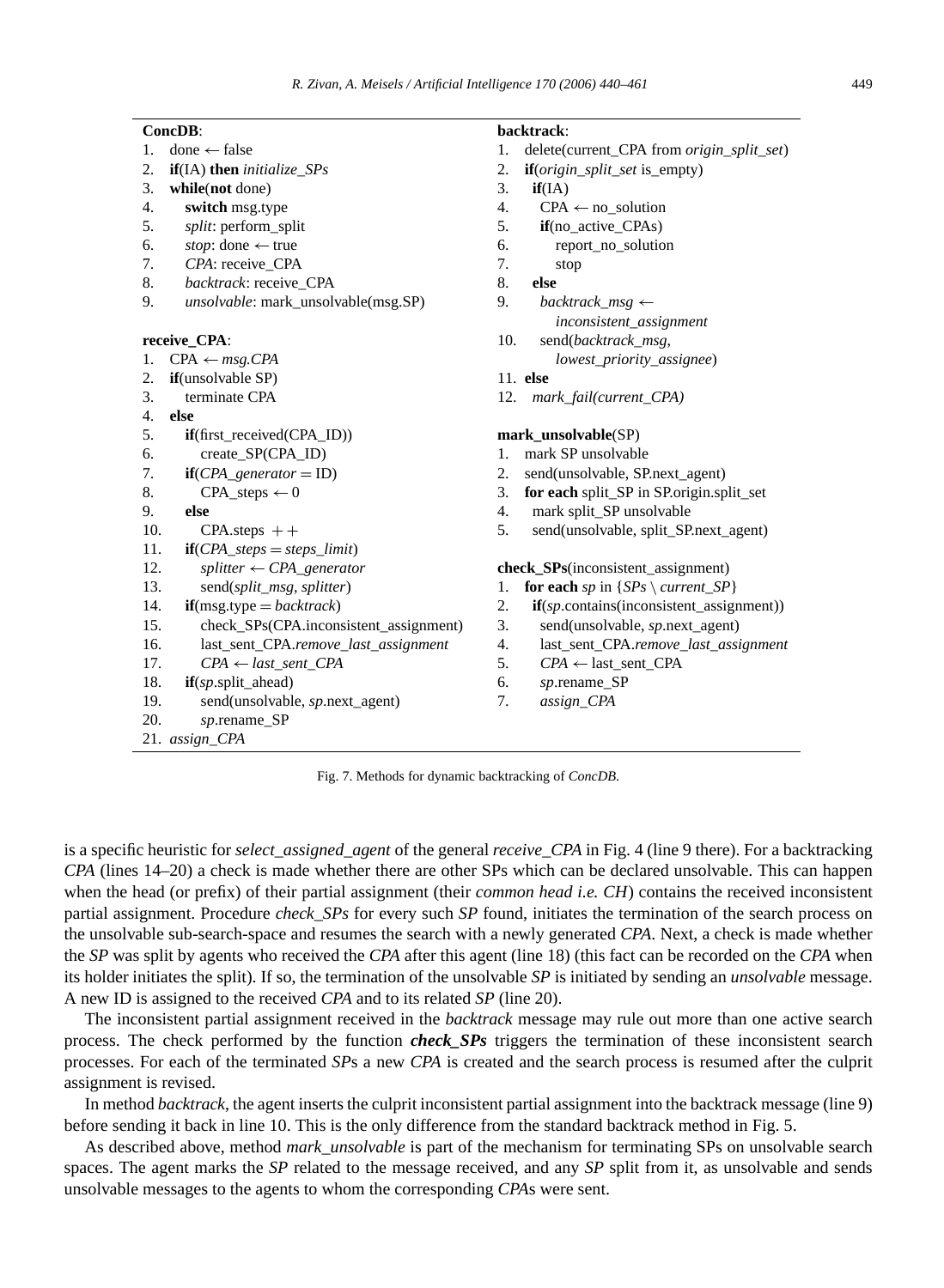|     | ConcDB:                                     | backtrack:                                              |  |  |  |
|-----|---------------------------------------------|---------------------------------------------------------|--|--|--|
| 1.  | done $\leftarrow$ false                     | 1.<br>delete(current_CPA from <i>origin_split_set</i> ) |  |  |  |
| 2.  | $if(IA)$ then <i>initialize_SPs</i>         | 2.<br>if(origin_split_set is_empty)                     |  |  |  |
| 3.  | while(not done)                             | 3.<br>if(IA)                                            |  |  |  |
| 4.  | switch msg.type                             | 4.<br>$CPA \leftarrow no\_solution$                     |  |  |  |
| 5.  | split: perform_split                        | 5.<br>$if(no_{{\text{active}}} \text{CPAs})$            |  |  |  |
| 6.  | stop: done $\leftarrow$ true                | 6.<br>report no solution                                |  |  |  |
| 7.  | CPA: receive_CPA                            | 7.<br>stop                                              |  |  |  |
| 8.  | backtrack: receive_CPA                      | 8.<br>else                                              |  |  |  |
| 9.  | unsolvable: mark_unsolvable(msg.SP)         | 9.<br>backtrack_msg $\leftarrow$                        |  |  |  |
|     |                                             | inconsistent_assignment                                 |  |  |  |
|     | receive_CPA:                                | 10.<br>send( <i>backtrack_msg</i> ,                     |  |  |  |
| 1.  | $CPA \leftarrow msg.CPA$                    | lowest_priority_assignee)                               |  |  |  |
| 2.  | <b>if</b> (unsolvable SP)                   | 11. else                                                |  |  |  |
| 3.  | terminate CPA                               | mark_fail(current_CPA)<br>12.                           |  |  |  |
| 4.  | else                                        |                                                         |  |  |  |
| 5.  | if(first_received(CPA_ID))                  | mark_unsolvable(SP)                                     |  |  |  |
| 6.  | create_SP(CPA_ID)                           | mark SP unsolvable<br>1.                                |  |  |  |
| 7.  | $if(CPA\_generator = ID)$                   | 2.<br>send(unsolvable, SP.next_agent)                   |  |  |  |
| 8.  | $CPA_{steps} \leftarrow 0$                  | 3.<br>for each split_SP in SP.origin.split_set          |  |  |  |
| 9.  | else                                        | mark split_SP unsolvable<br>4.                          |  |  |  |
| 10. | $CPA. steps + +$                            | 5.<br>send(unsolvable, split_SP.next_agent)             |  |  |  |
| 11. | $if(CPA\_steps = steps\_limit)$             |                                                         |  |  |  |
| 12. | $splitter \leftarrow \text{CPA\_generator}$ | check_SPs(inconsistent_assignment)                      |  |  |  |
| 13. | send( <i>split_msg, splitter</i> )          | for each sp in $\{SPs \setminus current\_SP\}$<br>1.    |  |  |  |
| 14. | $if(msg.type = backtrack)$                  | $if(sp. contains(inconsistent\_assignment))$<br>2.      |  |  |  |
| 15. | check_SPs(CPA.inconsistent_assignment)      | 3.<br>send(unsolvable, sp.next_agent)                   |  |  |  |
| 16. | last_sent_CPA.remove_last_assignment        | last_sent_CPA.remove_last_assignment<br>4.              |  |  |  |
| 17. | $CPA \leftarrow last\_sent\_CPA$            | 5.<br>$CPA \leftarrow$ last_sent_CPA                    |  |  |  |
| 18. | $if(sp.split_0)$                            | sp.rename_SP<br>6.                                      |  |  |  |
| 19. | send(unsolvable, sp.next_agent)             | 7.<br>assign_CPA                                        |  |  |  |
| 20. | sp.rename_SP                                |                                                         |  |  |  |
|     | 21. assign_CPA                              |                                                         |  |  |  |

Fig. 7. Methods for dynamic backtracking of *ConcDB*.

is a specific heuristic for *select* assigned agent of the general *receive* CPA in Fig. 4 (line 9 there). For a backtracking *CPA* (lines 14–20) a check is made whether there are other SPs which can be declared unsolvable. This can happen when the head (or prefix) of their partial assignment (their *common head i.e. CH*) contains the received inconsistent partial assignment. Procedure *check\_SPs* for every such *SP* found, initiates the termination of the search process on the unsolvable sub-search-space and resumes the search with a newly generated *CPA*. Next, a check is made whether the *SP* was split by agents who received the *CPA* after this agent (line 18) (this fact can be recorded on the *CPA* when its holder initiates the split). If so, the termination of the unsolvable *SP* is initiated by sending an *unsolvable* message. A new ID is assigned to the received *CPA* and to its related *SP* (line 20).

The inconsistent partial assignment received in the *backtrack* message may rule out more than one active search process. The check performed by the function *check\_SPs* triggers the termination of these inconsistent search processes. For each of the terminated *SP*s a new *CPA* is created and the search process is resumed after the culprit assignment is revised.

In method *backtrack*, the agent inserts the culprit inconsistent partial assignment into the backtrack message (line 9) before sending it back in line 10. This is the only difference from the standard backtrack method in Fig. 5.

As described above, method *mark\_unsolvable* is part of the mechanism for terminating SPs on unsolvable search spaces. The agent marks the *SP* related to the message received, and any *SP* split from it, as unsolvable and sends unsolvable messages to the agents to whom the corresponding *CPA*s were sent.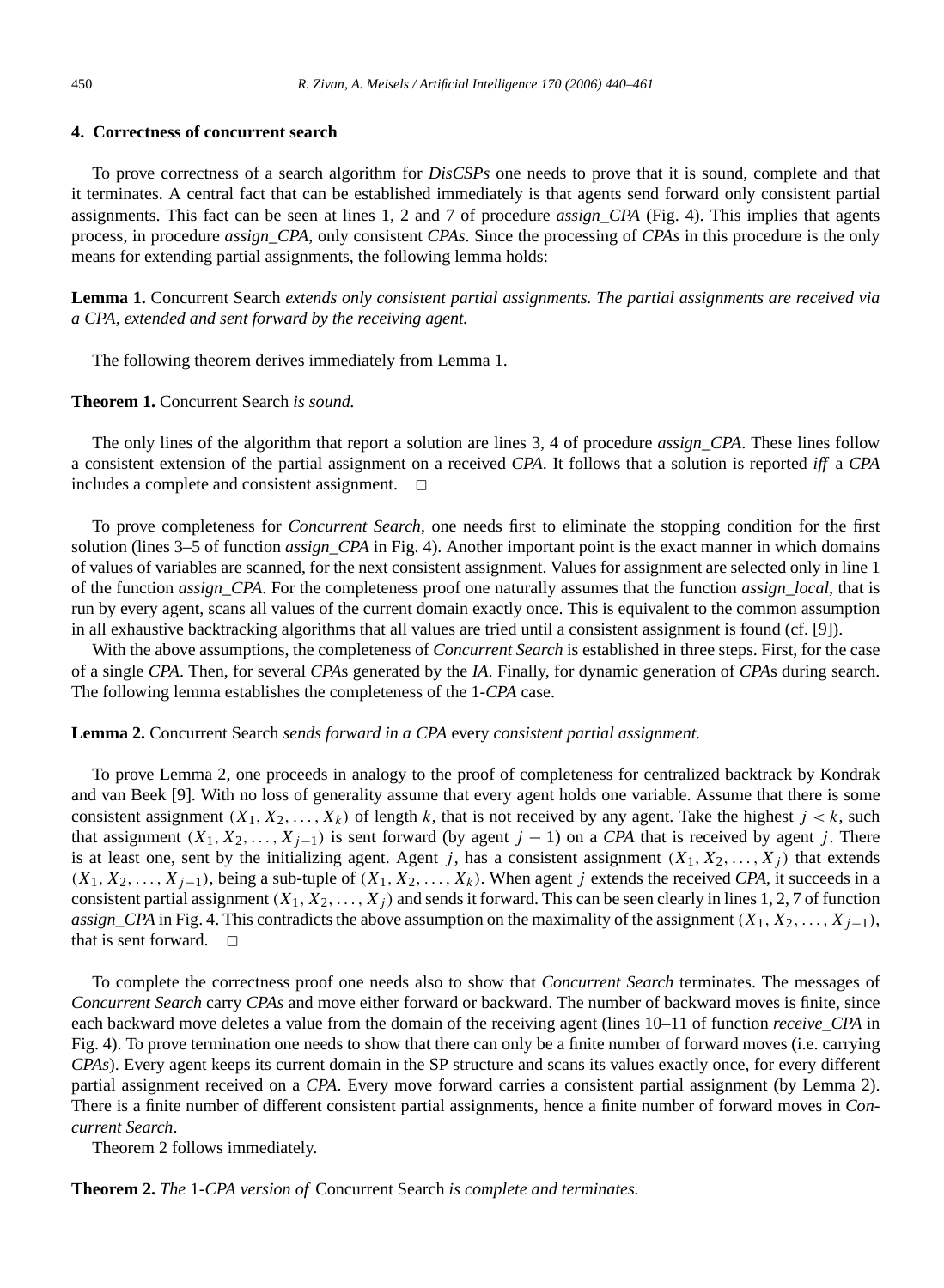#### **4. Correctness of concurrent search**

To prove correctness of a search algorithm for *DisCSPs* one needs to prove that it is sound, complete and that it terminates. A central fact that can be established immediately is that agents send forward only consistent partial assignments. This fact can be seen at lines 1, 2 and 7 of procedure *assign\_CPA* (Fig. 4). This implies that agents process, in procedure *assign\_CPA*, only consistent *CPAs*. Since the processing of *CPAs* in this procedure is the only means for extending partial assignments, the following lemma holds:

**Lemma 1.** Concurrent Search *extends only consistent partial assignments. The partial assignments are received via a CPA, extended and sent forward by the receiving agent.*

The following theorem derives immediately from Lemma 1.

**Theorem 1.** Concurrent Search *is sound.*

The only lines of the algorithm that report a solution are lines 3, 4 of procedure *assign\_CPA*. These lines follow a consistent extension of the partial assignment on a received *CPA*. It follows that a solution is reported *iff* a *CPA* includes a complete and consistent assignment.  $\Box$ 

To prove completeness for *Concurrent Search*, one needs first to eliminate the stopping condition for the first solution (lines 3–5 of function *assign CPA* in Fig. 4). Another important point is the exact manner in which domains of values of variables are scanned, for the next consistent assignment. Values for assignment are selected only in line 1 of the function *assign\_CPA*. For the completeness proof one naturally assumes that the function *assign\_local*, that is run by every agent, scans all values of the current domain exactly once. This is equivalent to the common assumption in all exhaustive backtracking algorithms that all values are tried until a consistent assignment is found (cf. [9]).

With the above assumptions, the completeness of *Concurrent Search* is established in three steps. First, for the case of a single *CPA*. Then, for several *CPA*s generated by the *IA*. Finally, for dynamic generation of *CPA*s during search. The following lemma establishes the completeness of the 1-*CPA* case.

# **Lemma 2.** Concurrent Search *sends forward in a CPA* every *consistent partial assignment.*

To prove Lemma 2, one proceeds in analogy to the proof of completeness for centralized backtrack by Kondrak and van Beek [9]. With no loss of generality assume that every agent holds one variable. Assume that there is some consistent assignment  $(X_1, X_2, \ldots, X_k)$  of length k, that is not received by any agent. Take the highest  $j < k$ , such that assignment  $(X_1, X_2, \ldots, X_{i-1})$  is sent forward (by agent *j* − 1) on a *CPA* that is received by agent *j*. There is at least one, sent by the initializing agent. Agent *j*, has a consistent assignment  $(X_1, X_2, \ldots, X_j)$  that extends *(X*1*, X*2*,...,Xj*<sup>−</sup>1*)*, being a sub-tuple of *(X*1*, X*2*,...,Xk)*. When agent *j* extends the received *CPA*, it succeeds in a consistent partial assignment  $(X_1, X_2, \ldots, X_j)$  and sends it forward. This can be seen clearly in lines 1, 2, 7 of function *assign\_CPA* in Fig. 4. This contradicts the above assumption on the maximality of the assignment  $(X_1, X_2, \ldots, X_{j-1})$ , that is sent forward.  $\square$ 

To complete the correctness proof one needs also to show that *Concurrent Search* terminates. The messages of *Concurrent Search* carry *CPAs* and move either forward or backward. The number of backward moves is finite, since each backward move deletes a value from the domain of the receiving agent (lines 10–11 of function *receive\_CPA* in Fig. 4). To prove termination one needs to show that there can only be a finite number of forward moves (i.e. carrying *CPAs*). Every agent keeps its current domain in the SP structure and scans its values exactly once, for every different partial assignment received on a *CPA*. Every move forward carries a consistent partial assignment (by Lemma 2). There is a finite number of different consistent partial assignments, hence a finite number of forward moves in *Concurrent Search*.

Theorem 2 follows immediately.

**Theorem 2.** *The* 1*-CPA version of* Concurrent Search *is complete and terminates.*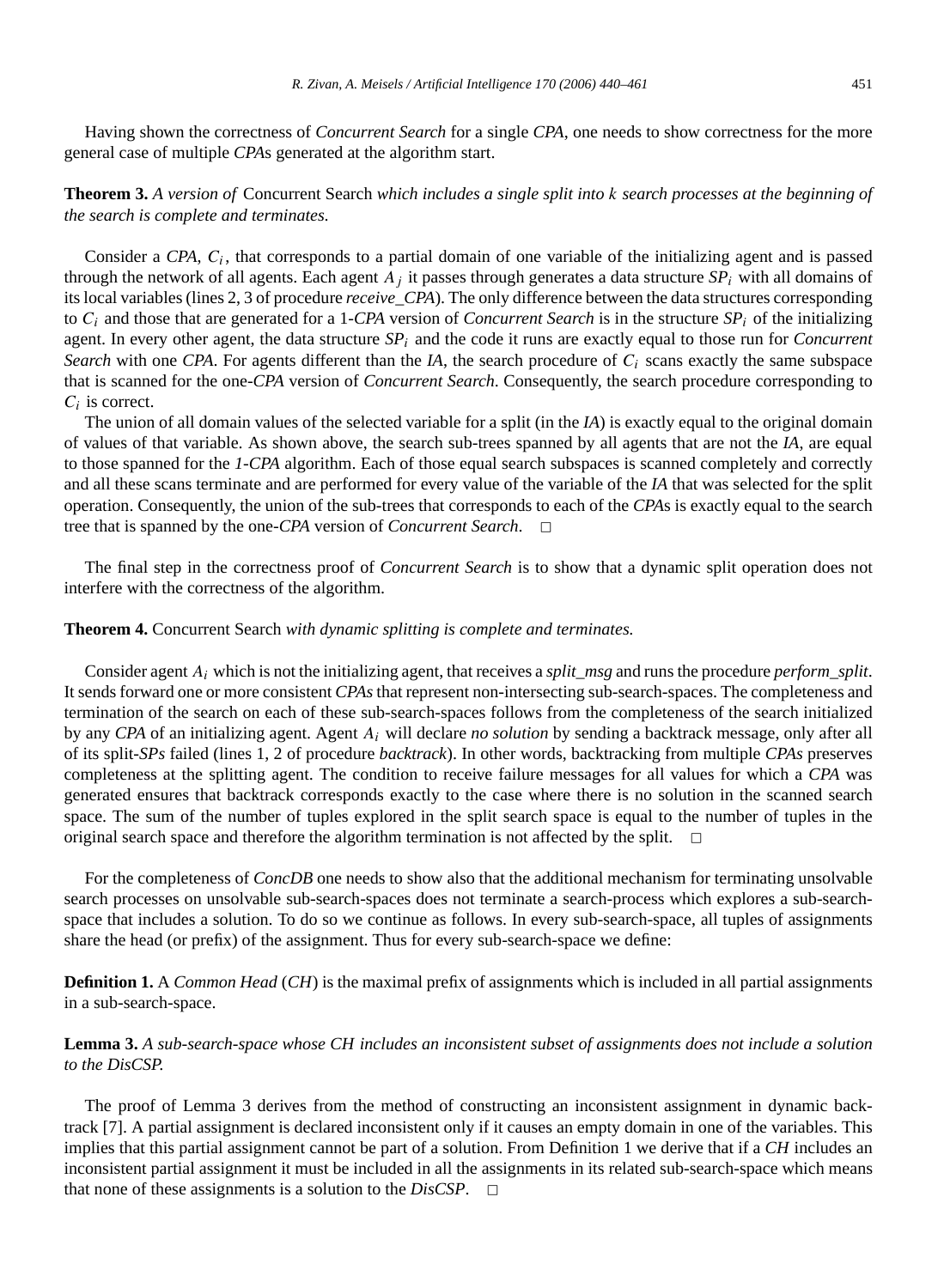Having shown the correctness of *Concurrent Search* for a single *CPA*, one needs to show correctness for the more general case of multiple *CPA*s generated at the algorithm start.

**Theorem 3.** *A version of* Concurrent Search *which includes a single split into k search processes at the beginning of the search is complete and terminates.*

Consider a *CPA*, *Ci*, that corresponds to a partial domain of one variable of the initializing agent and is passed through the network of all agents. Each agent  $A_i$  it passes through generates a data structure  $SP_i$  with all domains of its local variables (lines 2, 3 of procedure *receive\_CPA*). The only difference between the data structures corresponding to  $C_i$  and those that are generated for a 1-CPA version of *Concurrent Search* is in the structure  $SP_i$  of the initializing agent. In every other agent, the data structure *SP<sup>i</sup>* and the code it runs are exactly equal to those run for *Concurrent Search* with one *CPA*. For agents different than the *IA*, the search procedure of  $C_i$  scans exactly the same subspace that is scanned for the one-*CPA* version of *Concurrent Search*. Consequently, the search procedure corresponding to *Ci* is correct.

The union of all domain values of the selected variable for a split (in the *IA*) is exactly equal to the original domain of values of that variable. As shown above, the search sub-trees spanned by all agents that are not the *IA*, are equal to those spanned for the *1-CPA* algorithm. Each of those equal search subspaces is scanned completely and correctly and all these scans terminate and are performed for every value of the variable of the *IA* that was selected for the split operation. Consequently, the union of the sub-trees that corresponds to each of the *CPA*s is exactly equal to the search tree that is spanned by the one-*CPA* version of *Concurrent Search*.  $\square$ 

The final step in the correctness proof of *Concurrent Search* is to show that a dynamic split operation does not interfere with the correctness of the algorithm.

#### **Theorem 4.** Concurrent Search *with dynamic splitting is complete and terminates.*

Consider agent *Ai* which is not the initializing agent, that receives a *split\_msg* and runs the procedure *perform\_split*. It sends forward one or more consistent *CPAs* that represent non-intersecting sub-search-spaces. The completeness and termination of the search on each of these sub-search-spaces follows from the completeness of the search initialized by any *CPA* of an initializing agent. Agent *Ai* will declare *no solution* by sending a backtrack message, only after all of its split-*SPs* failed (lines 1, 2 of procedure *backtrack*). In other words, backtracking from multiple *CPAs* preserves completeness at the splitting agent. The condition to receive failure messages for all values for which a *CPA* was generated ensures that backtrack corresponds exactly to the case where there is no solution in the scanned search space. The sum of the number of tuples explored in the split search space is equal to the number of tuples in the original search space and therefore the algorithm termination is not affected by the split.  $\Box$ 

For the completeness of *ConcDB* one needs to show also that the additional mechanism for terminating unsolvable search processes on unsolvable sub-search-spaces does not terminate a search-process which explores a sub-searchspace that includes a solution. To do so we continue as follows. In every sub-search-space, all tuples of assignments share the head (or prefix) of the assignment. Thus for every sub-search-space we define:

**Definition 1.** A *Common Head* (*CH*) is the maximal prefix of assignments which is included in all partial assignments in a sub-search-space.

# **Lemma 3.** *A sub-search-space whose CH includes an inconsistent subset of assignments does not include a solution to the DisCSP.*

The proof of Lemma 3 derives from the method of constructing an inconsistent assignment in dynamic backtrack [7]. A partial assignment is declared inconsistent only if it causes an empty domain in one of the variables. This implies that this partial assignment cannot be part of a solution. From Definition 1 we derive that if a *CH* includes an inconsistent partial assignment it must be included in all the assignments in its related sub-search-space which means that none of these assignments is a solution to the  $DisCSP$ .  $\Box$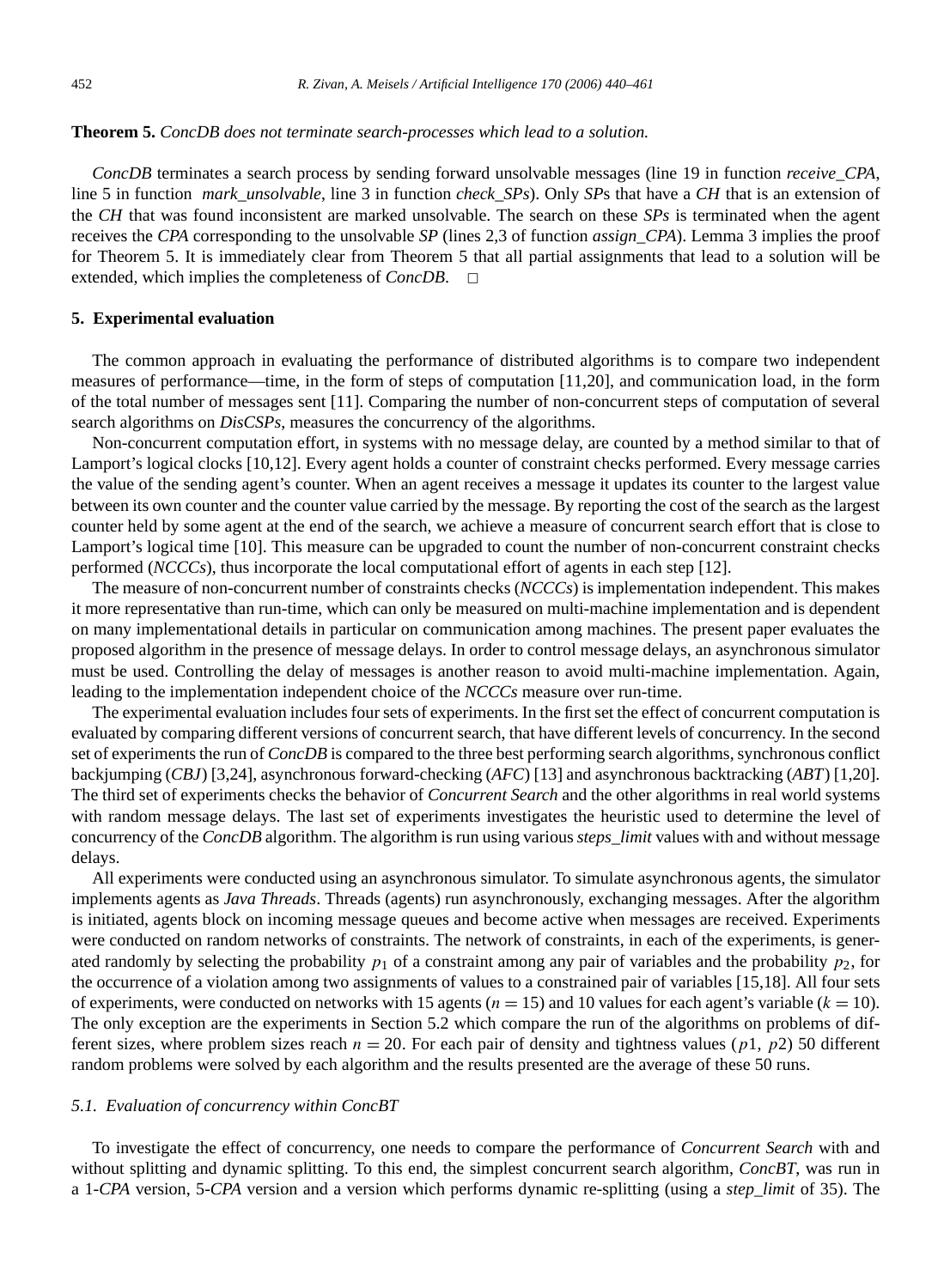#### **Theorem 5.** *ConcDB does not terminate search-processes which lead to a solution.*

*ConcDB* terminates a search process by sending forward unsolvable messages (line 19 in function *receive\_CPA*, line 5 in function *mark\_unsolvable*, line 3 in function *check\_SPs*). Only *SP*s that have a *CH* that is an extension of the *CH* that was found inconsistent are marked unsolvable. The search on these *SPs* is terminated when the agent receives the *CPA* corresponding to the unsolvable *SP* (lines 2,3 of function *assign\_CPA*). Lemma 3 implies the proof for Theorem 5. It is immediately clear from Theorem 5 that all partial assignments that lead to a solution will be extended, which implies the completeness of  $ConcDB$ .  $\Box$ 

# **5. Experimental evaluation**

The common approach in evaluating the performance of distributed algorithms is to compare two independent measures of performance—time, in the form of steps of computation [11,20], and communication load, in the form of the total number of messages sent [11]. Comparing the number of non-concurrent steps of computation of several search algorithms on *DisCSPs*, measures the concurrency of the algorithms.

Non-concurrent computation effort, in systems with no message delay, are counted by a method similar to that of Lamport's logical clocks [10,12]. Every agent holds a counter of constraint checks performed. Every message carries the value of the sending agent's counter. When an agent receives a message it updates its counter to the largest value between its own counter and the counter value carried by the message. By reporting the cost of the search as the largest counter held by some agent at the end of the search, we achieve a measure of concurrent search effort that is close to Lamport's logical time [10]. This measure can be upgraded to count the number of non-concurrent constraint checks performed (*NCCCs*), thus incorporate the local computational effort of agents in each step [12].

The measure of non-concurrent number of constraints checks (*NCCCs*) is implementation independent. This makes it more representative than run-time, which can only be measured on multi-machine implementation and is dependent on many implementational details in particular on communication among machines. The present paper evaluates the proposed algorithm in the presence of message delays. In order to control message delays, an asynchronous simulator must be used. Controlling the delay of messages is another reason to avoid multi-machine implementation. Again, leading to the implementation independent choice of the *NCCCs* measure over run-time.

The experimental evaluation includes four sets of experiments. In the first set the effect of concurrent computation is evaluated by comparing different versions of concurrent search, that have different levels of concurrency. In the second set of experiments the run of *ConcDB* is compared to the three best performing search algorithms, synchronous conflict backjumping (*CBJ*) [3,24], asynchronous forward-checking (*AFC*) [13] and asynchronous backtracking (*ABT*) [1,20]. The third set of experiments checks the behavior of *Concurrent Search* and the other algorithms in real world systems with random message delays. The last set of experiments investigates the heuristic used to determine the level of concurrency of the *ConcDB* algorithm. The algorithm is run using various*steps\_limit* values with and without message delays.

All experiments were conducted using an asynchronous simulator. To simulate asynchronous agents, the simulator implements agents as *Java Threads*. Threads (agents) run asynchronously, exchanging messages. After the algorithm is initiated, agents block on incoming message queues and become active when messages are received. Experiments were conducted on random networks of constraints. The network of constraints, in each of the experiments, is generated randomly by selecting the probability  $p_1$  of a constraint among any pair of variables and the probability  $p_2$ , for the occurrence of a violation among two assignments of values to a constrained pair of variables [15,18]. All four sets of experiments, were conducted on networks with 15 agents ( $n = 15$ ) and 10 values for each agent's variable ( $k = 10$ ). The only exception are the experiments in Section 5.2 which compare the run of the algorithms on problems of different sizes, where problem sizes reach  $n = 20$ . For each pair of density and tightness values ( $p1$ ,  $p2$ ) 50 different random problems were solved by each algorithm and the results presented are the average of these 50 runs.

#### *5.1. Evaluation of concurrency within ConcBT*

To investigate the effect of concurrency, one needs to compare the performance of *Concurrent Search* with and without splitting and dynamic splitting. To this end, the simplest concurrent search algorithm, *ConcBT*, was run in a 1-*CPA* version, 5-*CPA* version and a version which performs dynamic re-splitting (using a *step\_limit* of 35). The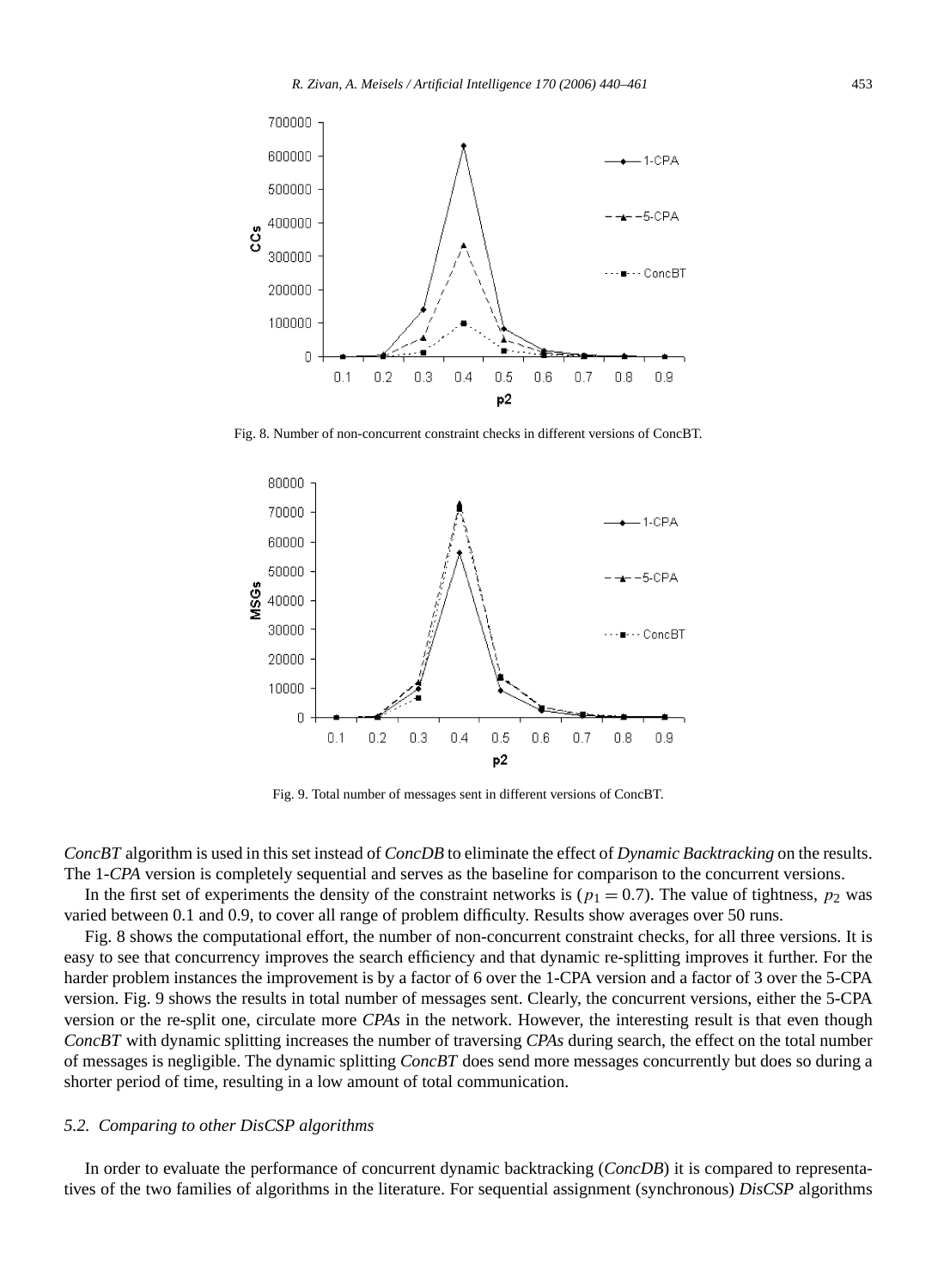

Fig. 8. Number of non-concurrent constraint checks in different versions of ConcBT.



Fig. 9. Total number of messages sent in different versions of ConcBT.

*ConcBT* algorithm is used in this set instead of *ConcDB* to eliminate the effect of *Dynamic Backtracking* on the results. The 1-*CPA* version is completely sequential and serves as the baseline for comparison to the concurrent versions.

In the first set of experiments the density of the constraint networks is  $(p_1 = 0.7)$ . The value of tightness,  $p_2$  was varied between 0.1 and 0.9, to cover all range of problem difficulty. Results show averages over 50 runs.

Fig. 8 shows the computational effort, the number of non-concurrent constraint checks, for all three versions. It is easy to see that concurrency improves the search efficiency and that dynamic re-splitting improves it further. For the harder problem instances the improvement is by a factor of 6 over the 1-CPA version and a factor of 3 over the 5-CPA version. Fig. 9 shows the results in total number of messages sent. Clearly, the concurrent versions, either the 5-CPA version or the re-split one, circulate more *CPAs* in the network. However, the interesting result is that even though *ConcBT* with dynamic splitting increases the number of traversing *CPAs* during search, the effect on the total number of messages is negligible. The dynamic splitting *ConcBT* does send more messages concurrently but does so during a shorter period of time, resulting in a low amount of total communication.

#### *5.2. Comparing to other DisCSP algorithms*

In order to evaluate the performance of concurrent dynamic backtracking (*ConcDB*) it is compared to representatives of the two families of algorithms in the literature. For sequential assignment (synchronous) *DisCSP* algorithms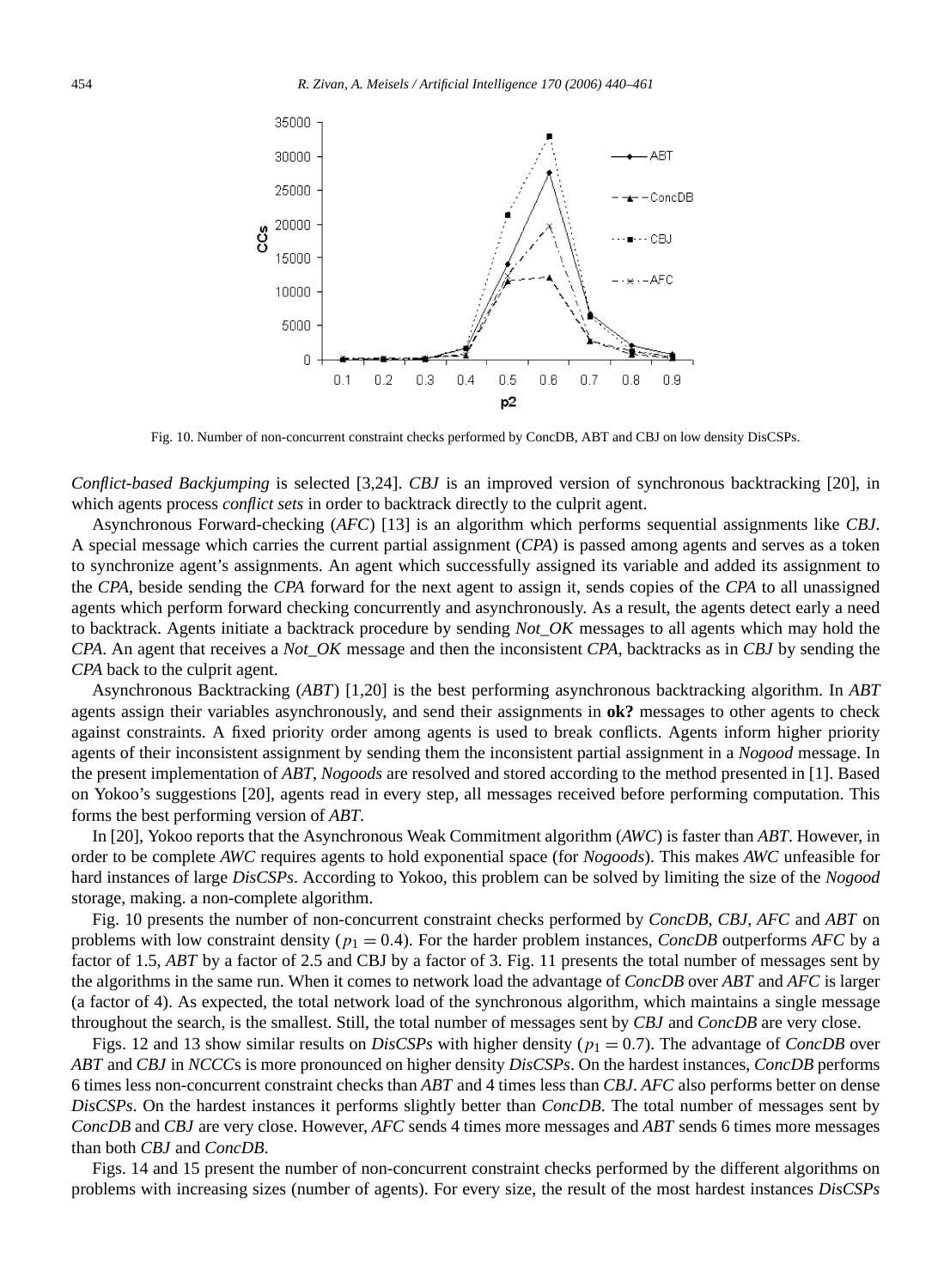

Fig. 10. Number of non-concurrent constraint checks performed by ConcDB, ABT and CBJ on low density DisCSPs.

*Conflict-based Backjumping* is selected [3,24]. *CBJ* is an improved version of synchronous backtracking [20], in which agents process *conflict sets* in order to backtrack directly to the culprit agent.

Asynchronous Forward-checking (*AFC*) [13] is an algorithm which performs sequential assignments like *CBJ*. A special message which carries the current partial assignment (*CPA*) is passed among agents and serves as a token to synchronize agent's assignments. An agent which successfully assigned its variable and added its assignment to the *CPA*, beside sending the *CPA* forward for the next agent to assign it, sends copies of the *CPA* to all unassigned agents which perform forward checking concurrently and asynchronously. As a result, the agents detect early a need to backtrack. Agents initiate a backtrack procedure by sending *Not\_OK* messages to all agents which may hold the *CPA*. An agent that receives a *Not\_OK* message and then the inconsistent *CPA*, backtracks as in *CBJ* by sending the *CPA* back to the culprit agent.

Asynchronous Backtracking (*ABT*) [1,20] is the best performing asynchronous backtracking algorithm. In *ABT* agents assign their variables asynchronously, and send their assignments in **ok?** messages to other agents to check against constraints. A fixed priority order among agents is used to break conflicts. Agents inform higher priority agents of their inconsistent assignment by sending them the inconsistent partial assignment in a *Nogood* message. In the present implementation of *ABT*, *Nogoods* are resolved and stored according to the method presented in [1]. Based on Yokoo's suggestions [20], agents read in every step, all messages received before performing computation. This forms the best performing version of *ABT*.

In [20], Yokoo reports that the Asynchronous Weak Commitment algorithm (*AWC*) is faster than *ABT*. However, in order to be complete *AWC* requires agents to hold exponential space (for *Nogoods*). This makes *AWC* unfeasible for hard instances of large *DisCSPs*. According to Yokoo, this problem can be solved by limiting the size of the *Nogood* storage, making. a non-complete algorithm.

Fig. 10 presents the number of non-concurrent constraint checks performed by *ConcDB*, *CBJ*, *AFC* and *ABT* on problems with low constraint density ( $p_1 = 0.4$ ). For the harder problem instances, *ConcDB* outperforms *AFC* by a factor of 1.5, *ABT* by a factor of 2.5 and CBJ by a factor of 3. Fig. 11 presents the total number of messages sent by the algorithms in the same run. When it comes to network load the advantage of *ConcDB* over *ABT* and *AFC* is larger (a factor of 4). As expected, the total network load of the synchronous algorithm, which maintains a single message throughout the search, is the smallest. Still, the total number of messages sent by *CBJ* and *ConcDB* are very close.

Figs. 12 and 13 show similar results on *DisCSPs* with higher density ( $p_1 = 0.7$ ). The advantage of *ConcDB* over *ABT* and *CBJ* in *NCCC*s is more pronounced on higher density *DisCSPs*. On the hardest instances, *ConcDB* performs 6 times less non-concurrent constraint checks than *ABT* and 4 times less than *CBJ*. *AFC* also performs better on dense *DisCSPs*. On the hardest instances it performs slightly better than *ConcDB*. The total number of messages sent by *ConcDB* and *CBJ* are very close. However, *AFC* sends 4 times more messages and *ABT* sends 6 times more messages than both *CBJ* and *ConcDB*.

Figs. 14 and 15 present the number of non-concurrent constraint checks performed by the different algorithms on problems with increasing sizes (number of agents). For every size, the result of the most hardest instances *DisCSPs*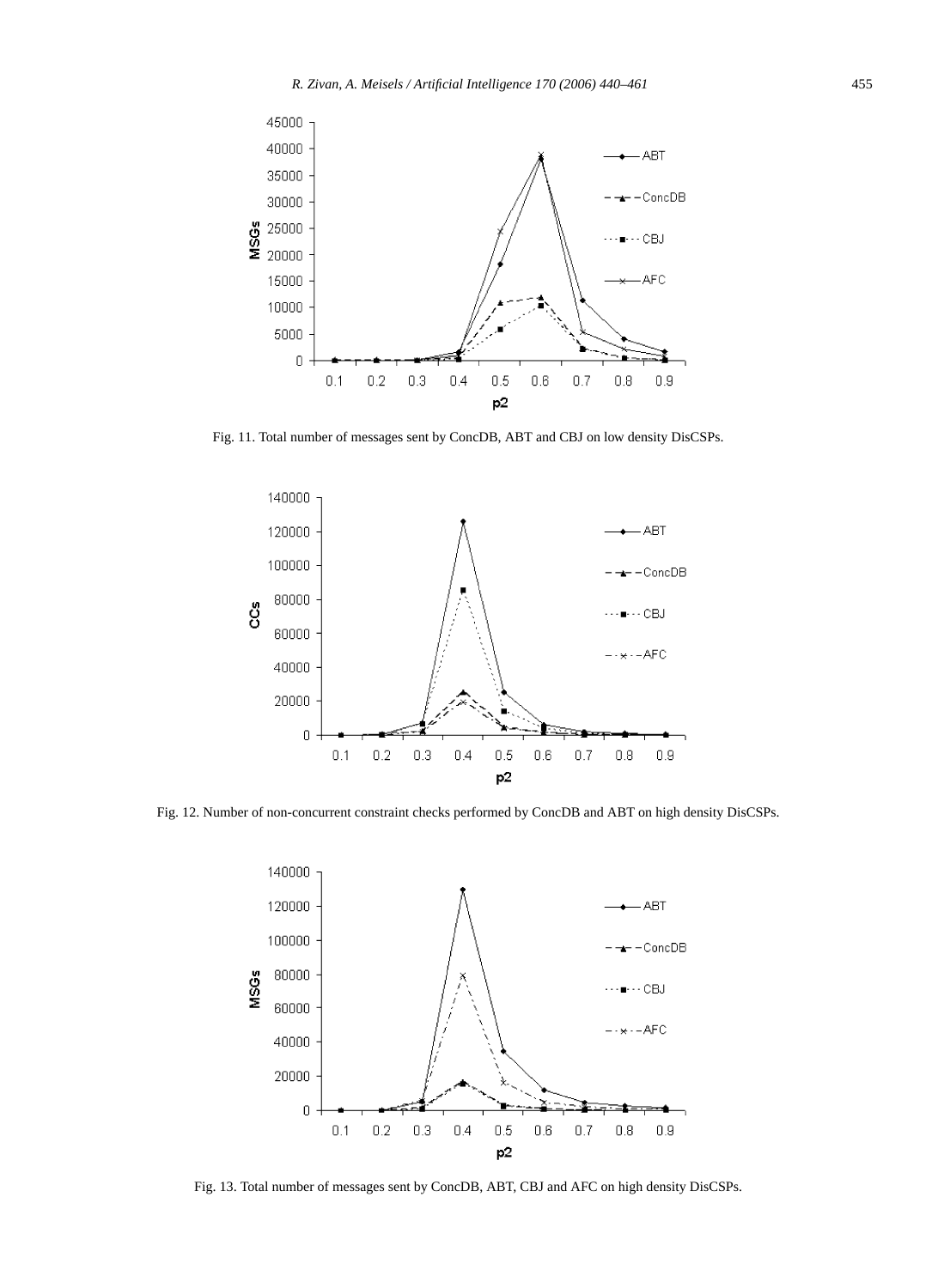

Fig. 11. Total number of messages sent by ConcDB, ABT and CBJ on low density DisCSPs.



Fig. 12. Number of non-concurrent constraint checks performed by ConcDB and ABT on high density DisCSPs.



Fig. 13. Total number of messages sent by ConcDB, ABT, CBJ and AFC on high density DisCSPs.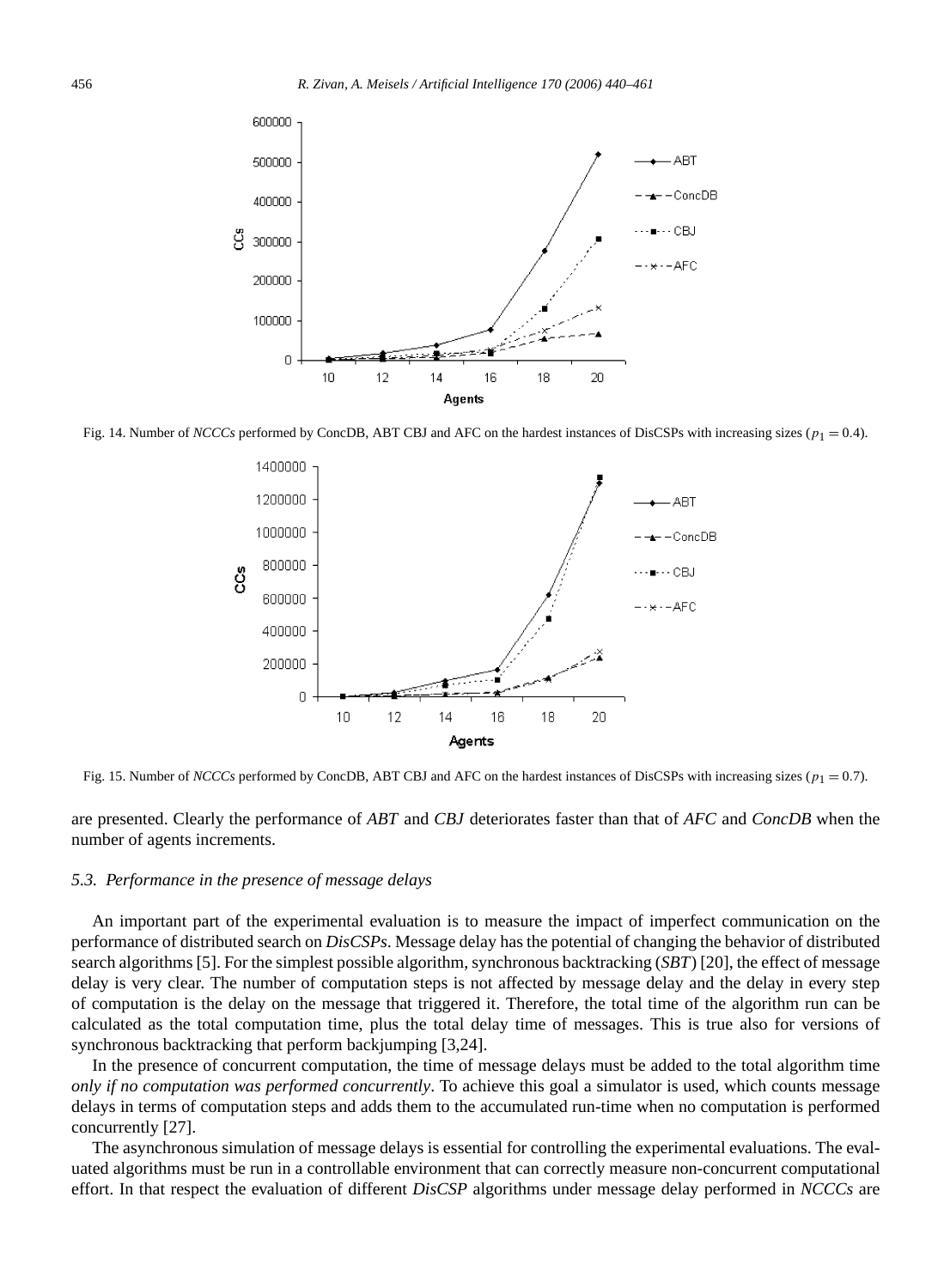

Fig. 14. Number of *NCCCs* performed by ConcDB, ABT CBJ and AFC on the hardest instances of DisCSPs with increasing sizes ( $p_1 = 0.4$ ).



Fig. 15. Number of *NCCCs* performed by ConcDB, ABT CBJ and AFC on the hardest instances of DisCSPs with increasing sizes (*p*<sup>1</sup> = 0*.*7).

are presented. Clearly the performance of *ABT* and *CBJ* deteriorates faster than that of *AFC* and *ConcDB* when the number of agents increments.

# *5.3. Performance in the presence of message delays*

An important part of the experimental evaluation is to measure the impact of imperfect communication on the performance of distributed search on *DisCSPs*. Message delay has the potential of changing the behavior of distributed search algorithms [5]. For the simplest possible algorithm, synchronous backtracking (*SBT*) [20], the effect of message delay is very clear. The number of computation steps is not affected by message delay and the delay in every step of computation is the delay on the message that triggered it. Therefore, the total time of the algorithm run can be calculated as the total computation time, plus the total delay time of messages. This is true also for versions of synchronous backtracking that perform backjumping [3,24].

In the presence of concurrent computation, the time of message delays must be added to the total algorithm time *only if no computation was performed concurrently*. To achieve this goal a simulator is used, which counts message delays in terms of computation steps and adds them to the accumulated run-time when no computation is performed concurrently [27].

The asynchronous simulation of message delays is essential for controlling the experimental evaluations. The evaluated algorithms must be run in a controllable environment that can correctly measure non-concurrent computational effort. In that respect the evaluation of different *DisCSP* algorithms under message delay performed in *NCCCs* are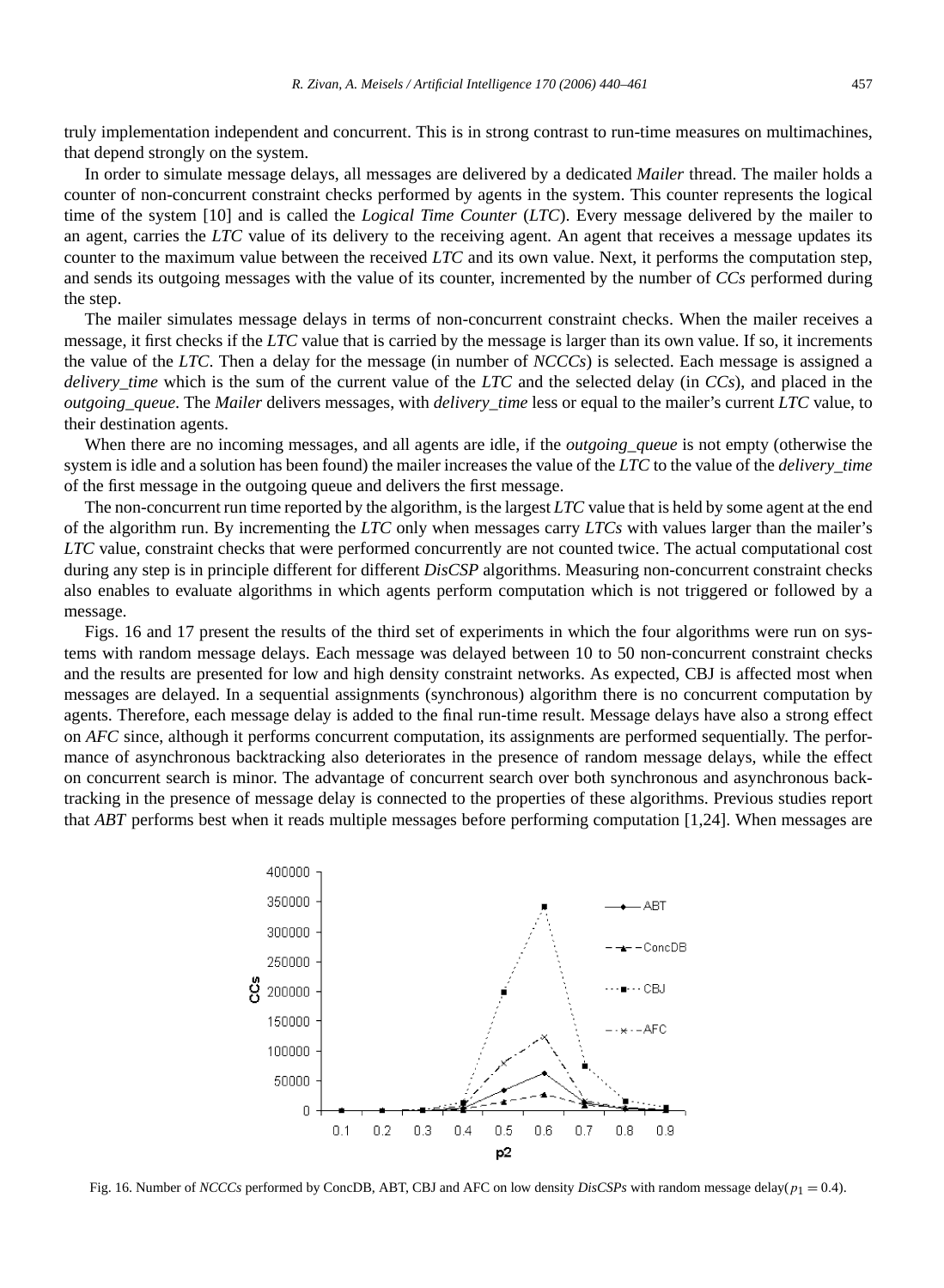truly implementation independent and concurrent. This is in strong contrast to run-time measures on multimachines, that depend strongly on the system.

In order to simulate message delays, all messages are delivered by a dedicated *Mailer* thread. The mailer holds a counter of non-concurrent constraint checks performed by agents in the system. This counter represents the logical time of the system [10] and is called the *Logical Time Counter* (*LTC*). Every message delivered by the mailer to an agent, carries the *LTC* value of its delivery to the receiving agent. An agent that receives a message updates its counter to the maximum value between the received *LTC* and its own value. Next, it performs the computation step, and sends its outgoing messages with the value of its counter, incremented by the number of *CCs* performed during the step.

The mailer simulates message delays in terms of non-concurrent constraint checks. When the mailer receives a message, it first checks if the *LTC* value that is carried by the message is larger than its own value. If so, it increments the value of the *LTC*. Then a delay for the message (in number of *NCCCs*) is selected. Each message is assigned a *delivery time* which is the sum of the current value of the *LTC* and the selected delay (in *CCs*), and placed in the *outgoing\_queue*. The *Mailer* delivers messages, with *delivery\_time* less or equal to the mailer's current *LTC* value, to their destination agents.

When there are no incoming messages, and all agents are idle, if the *outgoing\_queue* is not empty (otherwise the system is idle and a solution has been found) the mailer increases the value of the *LTC* to the value of the *delivery\_time* of the first message in the outgoing queue and delivers the first message.

The non-concurrent run time reported by the algorithm, is the largest *LTC* value that is held by some agent at the end of the algorithm run. By incrementing the *LTC* only when messages carry *LTCs* with values larger than the mailer's *LTC* value, constraint checks that were performed concurrently are not counted twice. The actual computational cost during any step is in principle different for different *DisCSP* algorithms. Measuring non-concurrent constraint checks also enables to evaluate algorithms in which agents perform computation which is not triggered or followed by a message.

Figs. 16 and 17 present the results of the third set of experiments in which the four algorithms were run on systems with random message delays. Each message was delayed between 10 to 50 non-concurrent constraint checks and the results are presented for low and high density constraint networks. As expected, CBJ is affected most when messages are delayed. In a sequential assignments (synchronous) algorithm there is no concurrent computation by agents. Therefore, each message delay is added to the final run-time result. Message delays have also a strong effect on *AFC* since, although it performs concurrent computation, its assignments are performed sequentially. The performance of asynchronous backtracking also deteriorates in the presence of random message delays, while the effect on concurrent search is minor. The advantage of concurrent search over both synchronous and asynchronous backtracking in the presence of message delay is connected to the properties of these algorithms. Previous studies report that *ABT* performs best when it reads multiple messages before performing computation [1,24]. When messages are



Fig. 16. Number of *NCCCs* performed by ConcDB, ABT, CBJ and AFC on low density *DisCSPs* with random message delay(*p*<sup>1</sup> = 0*.*4).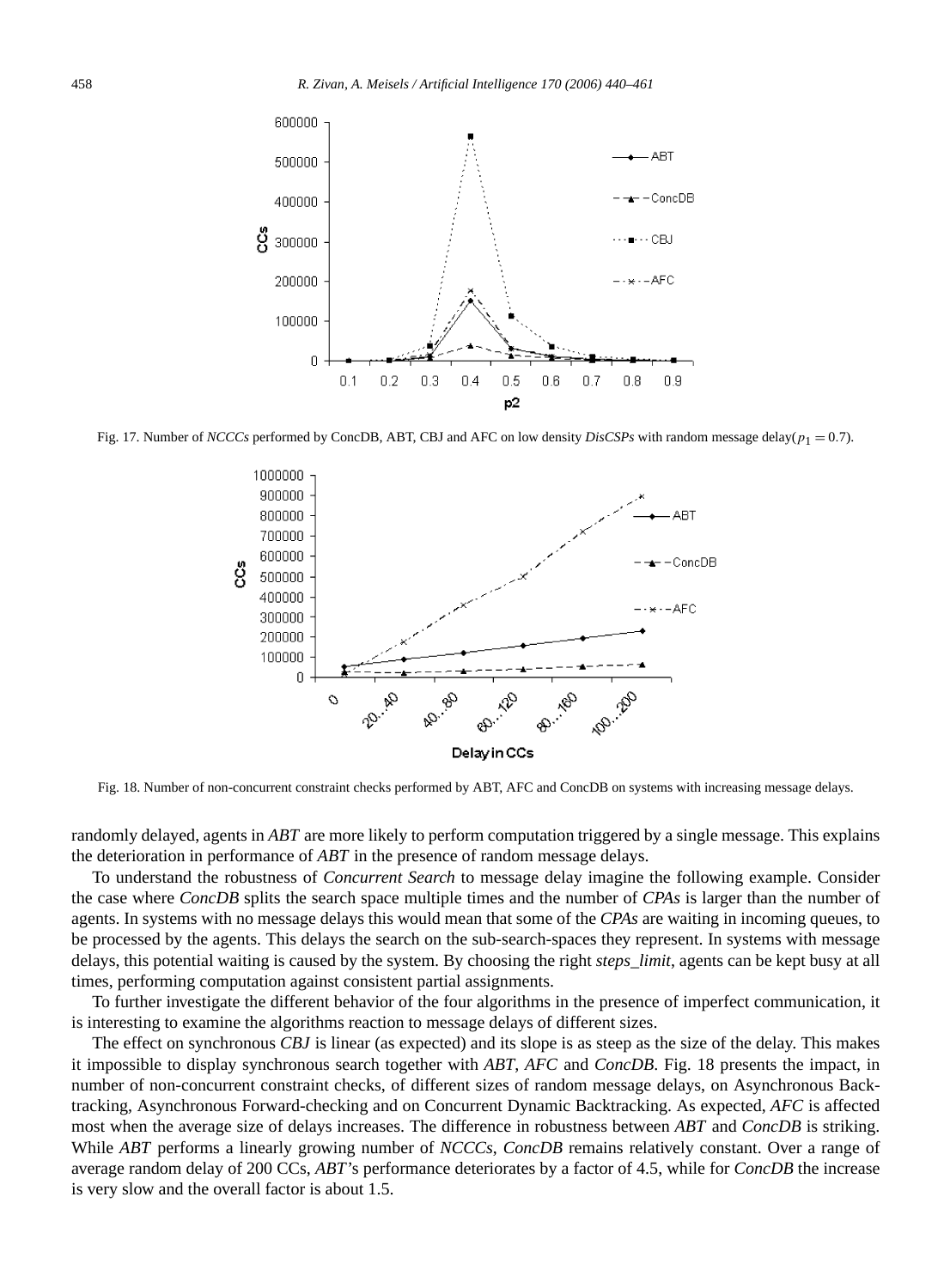

Fig. 17. Number of *NCCCs* performed by ConcDB, ABT, CBJ and AFC on low density *DisCSPs* with random message delay( $p_1 = 0.7$ ).



Fig. 18. Number of non-concurrent constraint checks performed by ABT, AFC and ConcDB on systems with increasing message delays.

randomly delayed, agents in *ABT* are more likely to perform computation triggered by a single message. This explains the deterioration in performance of *ABT* in the presence of random message delays.

To understand the robustness of *Concurrent Search* to message delay imagine the following example. Consider the case where *ConcDB* splits the search space multiple times and the number of *CPAs* is larger than the number of agents. In systems with no message delays this would mean that some of the *CPAs* are waiting in incoming queues, to be processed by the agents. This delays the search on the sub-search-spaces they represent. In systems with message delays, this potential waiting is caused by the system. By choosing the right *steps\_limit*, agents can be kept busy at all times, performing computation against consistent partial assignments.

To further investigate the different behavior of the four algorithms in the presence of imperfect communication, it is interesting to examine the algorithms reaction to message delays of different sizes.

The effect on synchronous *CBJ* is linear (as expected) and its slope is as steep as the size of the delay. This makes it impossible to display synchronous search together with *ABT*, *AFC* and *ConcDB*. Fig. 18 presents the impact, in number of non-concurrent constraint checks, of different sizes of random message delays, on Asynchronous Backtracking, Asynchronous Forward-checking and on Concurrent Dynamic Backtracking. As expected, *AFC* is affected most when the average size of delays increases. The difference in robustness between *ABT* and *ConcDB* is striking. While *ABT* performs a linearly growing number of *NCCCs*, *ConcDB* remains relatively constant. Over a range of average random delay of 200 CCs, *ABT*'s performance deteriorates by a factor of 4.5, while for *ConcDB* the increase is very slow and the overall factor is about 1.5.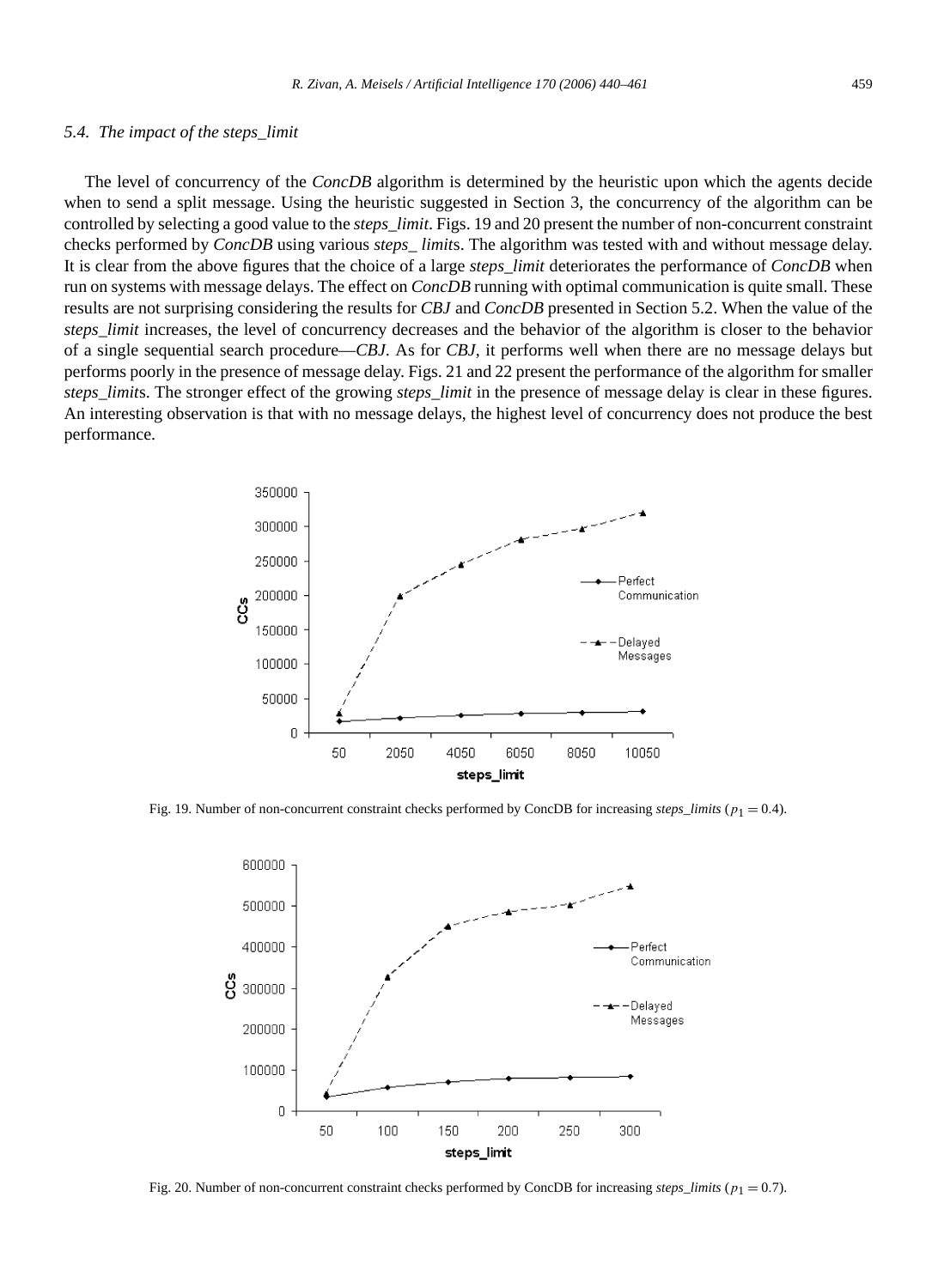# *5.4. The impact of the steps\_limit*

The level of concurrency of the *ConcDB* algorithm is determined by the heuristic upon which the agents decide when to send a split message. Using the heuristic suggested in Section 3, the concurrency of the algorithm can be controlled by selecting a good value to the *steps\_limit*. Figs. 19 and 20 present the number of non-concurrent constraint checks performed by *ConcDB* using various *steps\_ limit*s. The algorithm was tested with and without message delay. It is clear from the above figures that the choice of a large *steps\_limit* deteriorates the performance of *ConcDB* when run on systems with message delays. The effect on *ConcDB* running with optimal communication is quite small. These results are not surprising considering the results for *CBJ* and *ConcDB* presented in Section 5.2. When the value of the *steps\_limit* increases, the level of concurrency decreases and the behavior of the algorithm is closer to the behavior of a single sequential search procedure—*CBJ*. As for *CBJ*, it performs well when there are no message delays but performs poorly in the presence of message delay. Figs. 21 and 22 present the performance of the algorithm for smaller *steps\_limit*s. The stronger effect of the growing *steps\_limit* in the presence of message delay is clear in these figures. An interesting observation is that with no message delays, the highest level of concurrency does not produce the best performance.



Fig. 19. Number of non-concurrent constraint checks performed by ConcDB for increasing *steps\_limits* ( $p_1 = 0.4$ ).



Fig. 20. Number of non-concurrent constraint checks performed by ConcDB for increasing *steps\_limits* ( $p_1 = 0.7$ ).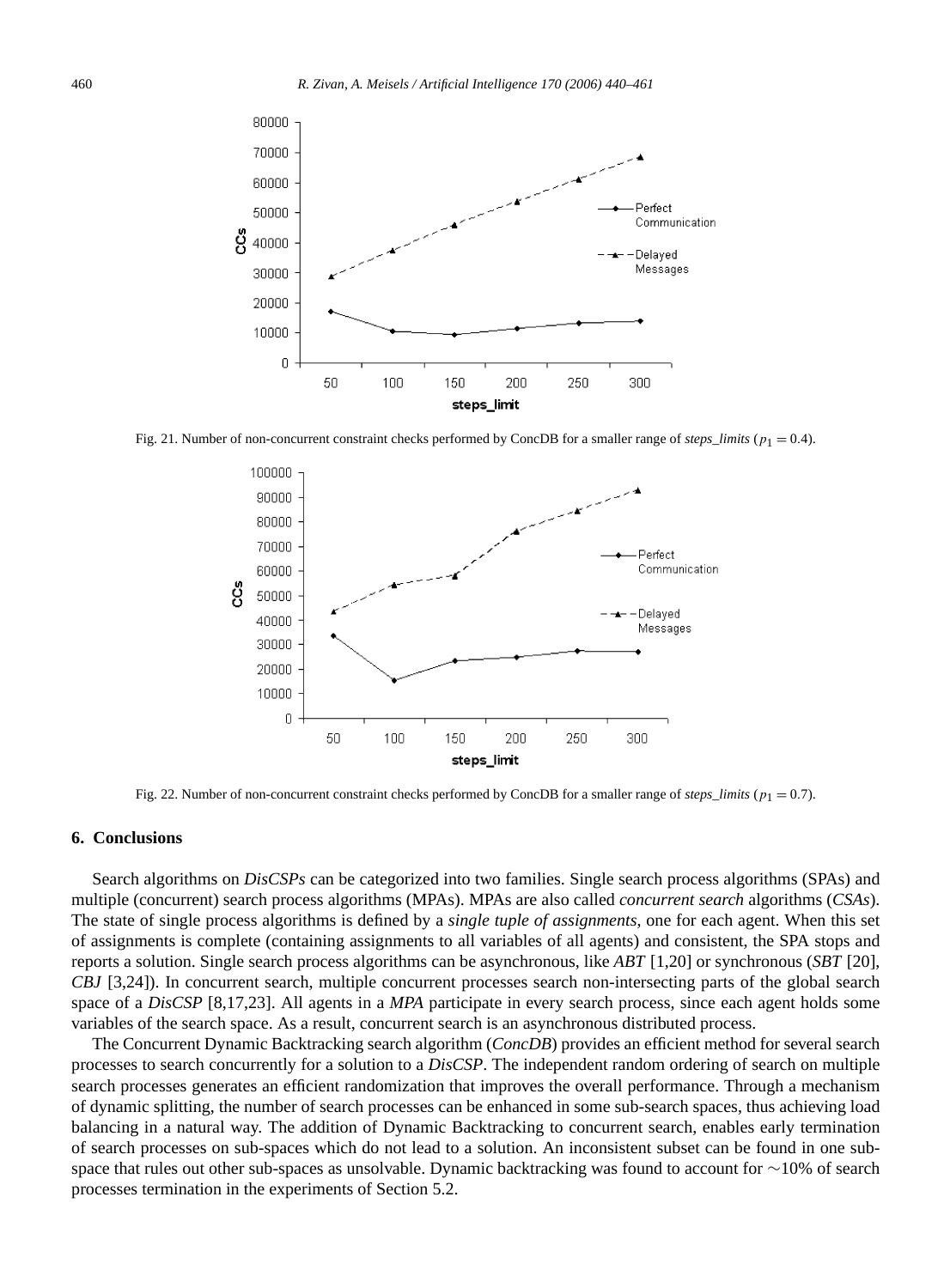

Fig. 21. Number of non-concurrent constraint checks performed by ConcDB for a smaller range of *steps\_limits* ( $p_1 = 0.4$ ).



Fig. 22. Number of non-concurrent constraint checks performed by ConcDB for a smaller range of *steps\_limits* ( $p_1 = 0.7$ ).

# **6. Conclusions**

Search algorithms on *DisCSPs* can be categorized into two families. Single search process algorithms (SPAs) and multiple (concurrent) search process algorithms (MPAs). MPAs are also called *concurrent search* algorithms (*CSAs*). The state of single process algorithms is defined by a *single tuple of assignments*, one for each agent. When this set of assignments is complete (containing assignments to all variables of all agents) and consistent, the SPA stops and reports a solution. Single search process algorithms can be asynchronous, like *ABT* [1,20] or synchronous (*SBT* [20], *CBJ* [3,24]). In concurrent search, multiple concurrent processes search non-intersecting parts of the global search space of a *DisCSP* [8,17,23]. All agents in a *MPA* participate in every search process, since each agent holds some variables of the search space. As a result, concurrent search is an asynchronous distributed process.

The Concurrent Dynamic Backtracking search algorithm (*ConcDB*) provides an efficient method for several search processes to search concurrently for a solution to a *DisCSP*. The independent random ordering of search on multiple search processes generates an efficient randomization that improves the overall performance. Through a mechanism of dynamic splitting, the number of search processes can be enhanced in some sub-search spaces, thus achieving load balancing in a natural way. The addition of Dynamic Backtracking to concurrent search, enables early termination of search processes on sub-spaces which do not lead to a solution. An inconsistent subset can be found in one subspace that rules out other sub-spaces as unsolvable. Dynamic backtracking was found to account for ∼10% of search processes termination in the experiments of Section 5.2.